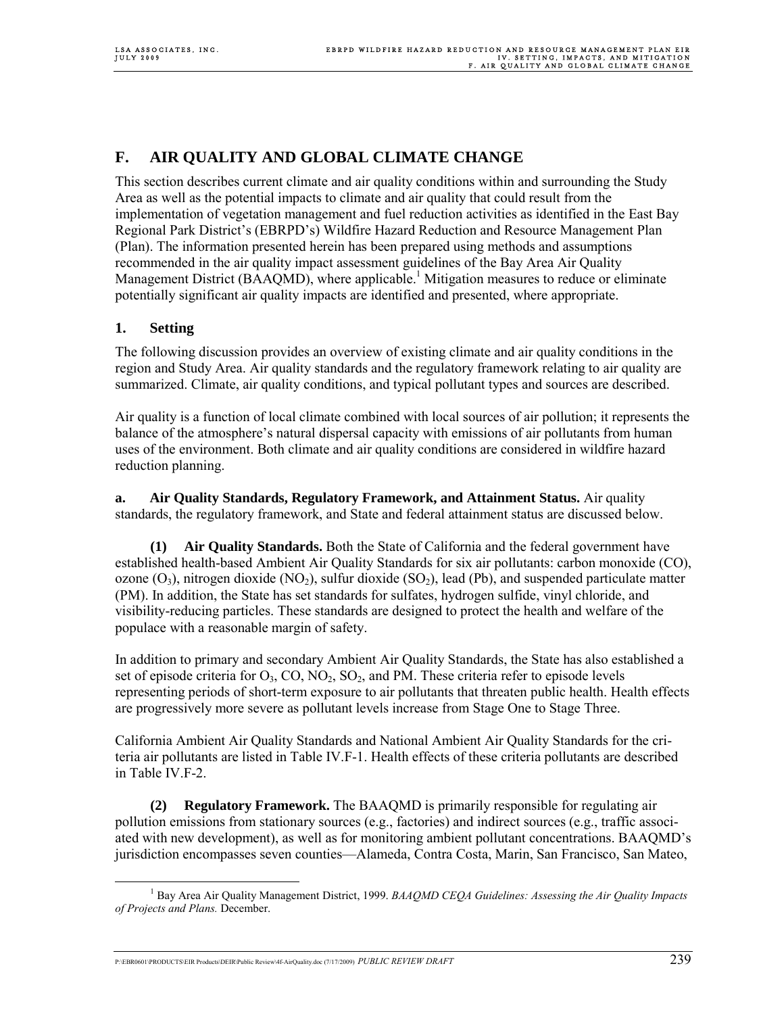# **F. AIR QUALITY AND GLOBAL CLIMATE CHANGE**

This section describes current climate and air quality conditions within and surrounding the Study Area as well as the potential impacts to climate and air quality that could result from the implementation of vegetation management and fuel reduction activities as identified in the East Bay Regional Park District's (EBRPD's) Wildfire Hazard Reduction and Resource Management Plan (Plan). The information presented herein has been prepared using methods and assumptions recommended in the air quality impact assessment guidelines of the Bay Area Air Quality Management District (BAAQMD), where applicable.<sup>1</sup> Mitigation measures to reduce or eliminate potentially significant air quality impacts are identified and presented, where appropriate.

# **1. Setting**

The following discussion provides an overview of existing climate and air quality conditions in the region and Study Area. Air quality standards and the regulatory framework relating to air quality are summarized. Climate, air quality conditions, and typical pollutant types and sources are described.

Air quality is a function of local climate combined with local sources of air pollution; it represents the balance of the atmosphere's natural dispersal capacity with emissions of air pollutants from human uses of the environment. Both climate and air quality conditions are considered in wildfire hazard reduction planning.

**a. Air Quality Standards, Regulatory Framework, and Attainment Status.** Air quality standards, the regulatory framework, and State and federal attainment status are discussed below.

**(1) Air Quality Standards.** Both the State of California and the federal government have established health-based Ambient Air Quality Standards for six air pollutants: carbon monoxide (CO), ozone  $(O_3)$ , nitrogen dioxide  $(NO_2)$ , sulfur dioxide  $(SO_2)$ , lead  $(Pb)$ , and suspended particulate matter (PM). In addition, the State has set standards for sulfates, hydrogen sulfide, vinyl chloride, and visibility-reducing particles. These standards are designed to protect the health and welfare of the populace with a reasonable margin of safety.

In addition to primary and secondary Ambient Air Quality Standards, the State has also established a set of episode criteria for  $O_3$ ,  $CO$ ,  $NO_2$ ,  $SO_2$ , and PM. These criteria refer to episode levels representing periods of short-term exposure to air pollutants that threaten public health. Health effects are progressively more severe as pollutant levels increase from Stage One to Stage Three.

California Ambient Air Quality Standards and National Ambient Air Quality Standards for the criteria air pollutants are listed in Table IV.F-1. Health effects of these criteria pollutants are described in Table IV.F-2.

**(2) Regulatory Framework.** The BAAQMD is primarily responsible for regulating air pollution emissions from stationary sources (e.g., factories) and indirect sources (e.g., traffic associated with new development), as well as for monitoring ambient pollutant concentrations. BAAQMD's jurisdiction encompasses seven counties—Alameda, Contra Costa, Marin, San Francisco, San Mateo,

 $\frac{1}{1}$ <sup>1</sup> Bay Area Air Quality Management District, 1999. *BAAQMD CEQA Guidelines: Assessing the Air Quality Impacts of Projects and Plans.* December.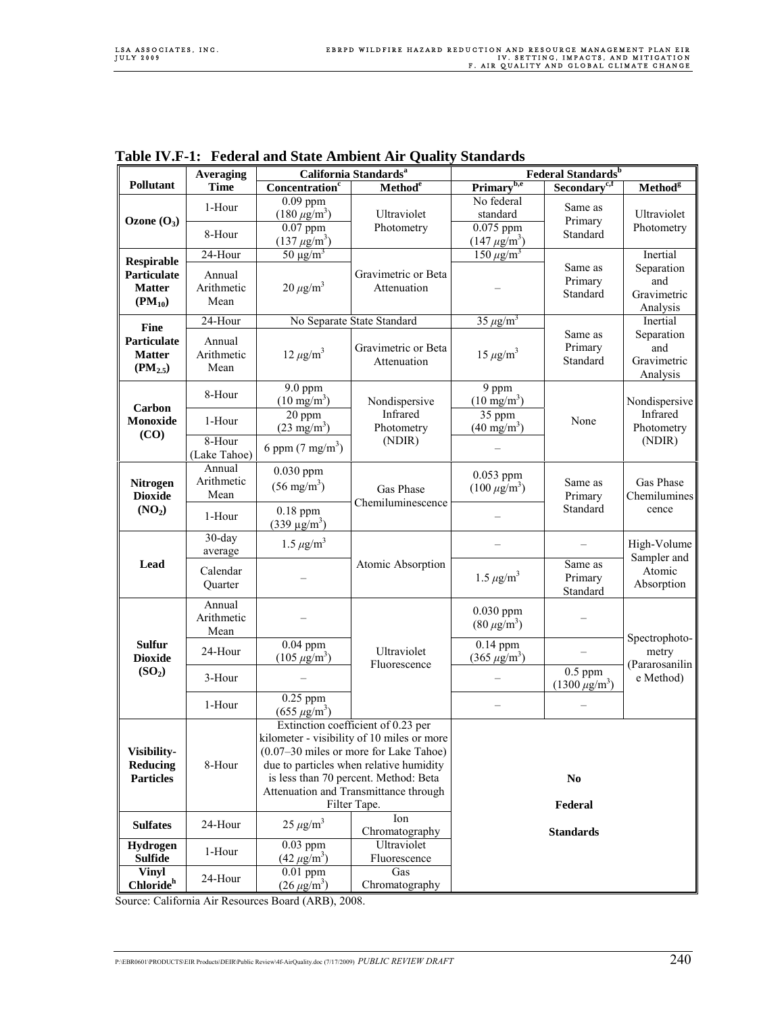|                                                      | <b>Averaging</b>                             | California Standards <sup>a</sup>    |                                                                                                                                                                                                                                                                         | Federal Standards <sup>b</sup>     |                                          |                                              |  |
|------------------------------------------------------|----------------------------------------------|--------------------------------------|-------------------------------------------------------------------------------------------------------------------------------------------------------------------------------------------------------------------------------------------------------------------------|------------------------------------|------------------------------------------|----------------------------------------------|--|
| Pollutant                                            | <b>Time</b>                                  | Concentration <sup>c</sup>           | Method <sup>e</sup>                                                                                                                                                                                                                                                     | Primary <sup>b,e</sup>             | Secondary <sup>c,f</sup>                 | <b>Method</b> <sup>g</sup>                   |  |
|                                                      | 1-Hour                                       | $0.09$ ppm<br>$(180 \,\mu g/m^3)$    | Ultraviolet                                                                                                                                                                                                                                                             | No federal<br>standard             | Same as                                  | Ultraviolet                                  |  |
| Ozone $(O_3)$                                        | 8-Hour                                       | $0.07$ ppm<br>$(137 \,\mu g/m^3)$    | Photometry                                                                                                                                                                                                                                                              | $0.075$ ppm<br>$(147 \,\mu g/m^3)$ | Primary<br>Standard                      | Photometry                                   |  |
| <b>Respirable</b>                                    | 24-Hour                                      | $50 \mu g/m^3$                       |                                                                                                                                                                                                                                                                         | $150 \mu g/m^3$                    |                                          | Inertial                                     |  |
| Particulate<br><b>Matter</b><br>$(PM_{10})$          | Annual<br>Arithmetic<br>Mean                 | $20 \mu g/m^3$                       | Gravimetric or Beta<br>Attenuation                                                                                                                                                                                                                                      |                                    | Same as<br>Primary<br>Standard           | Separation<br>and<br>Gravimetric<br>Analysis |  |
| <b>Fine</b>                                          | 24-Hour                                      |                                      | No Separate State Standard                                                                                                                                                                                                                                              | $35 \mu g/m^3$                     |                                          | Inertial                                     |  |
| Particulate<br><b>Matter</b><br>(PM <sub>2.5</sub> ) | Annual<br>Arithmetic<br>Mean                 | $12 \mu g/m^3$                       | Gravimetric or Beta<br>Attenuation                                                                                                                                                                                                                                      | $15 \mu g/m^3$                     | Same as<br>Primary<br>Standard           | Separation<br>and<br>Gravimetric<br>Analysis |  |
| Carbon                                               | 8-Hour                                       | 9.0 ppm<br>$(10 \text{ mg/m}^3)$     | Nondispersive                                                                                                                                                                                                                                                           | 9 ppm<br>$(10 \text{ mg/m}^3)$     | Nondispersive                            |                                              |  |
| Monoxide<br>(CO)                                     | 1-Hour                                       | 20 ppm<br>$(23 \text{ mg/m}^3)$      | Infrared<br>Photometry                                                                                                                                                                                                                                                  | 35 ppm<br>$(40 \text{ mg/m}^3)$    | None                                     | Infrared<br>Photometry<br>(NDIR)             |  |
|                                                      | 8-Hour<br>(Lake Tahoe)                       | 6 ppm $(7 \text{ mg/m}^3)$           | (NDIR)                                                                                                                                                                                                                                                                  |                                    |                                          |                                              |  |
| <b>Nitrogen</b><br><b>Dioxide</b>                    | Annual<br>Arithmetic<br>Mean                 | $0.030$ ppm<br>$(56 \text{ mg/m}^3)$ | Gas Phase                                                                                                                                                                                                                                                               | $0.053$ ppm<br>$(100 \ \mu g/m^3)$ | Same as<br>Primary                       | Gas Phase<br>Chemilumines<br>cence           |  |
| (NO <sub>2</sub> )                                   | 1-Hour                                       | 0.18 ppm<br>$(339 \text{ µg/m}^3)$   | Chemiluminescence                                                                                                                                                                                                                                                       |                                    | Standard                                 |                                              |  |
|                                                      | $30$ -day<br>average                         | $1.5 \,\mu g/m^3$                    |                                                                                                                                                                                                                                                                         |                                    |                                          | High-Volume<br>Sampler and                   |  |
| Lead                                                 | Calendar<br>Quarter                          |                                      | Atomic Absorption                                                                                                                                                                                                                                                       | $1.5 \,\mu g/m^3$                  | Same as<br>Primary<br>Standard           | Atomic<br>Absorption                         |  |
|                                                      | Annual<br>Arithmetic<br>Mean                 |                                      |                                                                                                                                                                                                                                                                         | 0.030 ppm<br>$(80 \,\mu g/m^3)$    |                                          |                                              |  |
| <b>Sulfur</b><br><b>Dioxide</b>                      | $0.04$ ppm<br>24-Hour<br>$(105 \,\mu g/m^3)$ | Ultraviolet<br>Fluorescence          | $0.14$ ppm<br>$(365 \,\mu g/m^3)$                                                                                                                                                                                                                                       |                                    | Spectrophoto-<br>metry<br>(Pararosanilin |                                              |  |
| (SO <sub>2</sub> )                                   | 3-Hour                                       |                                      |                                                                                                                                                                                                                                                                         |                                    | $0.5$ ppm<br>$(1300 \,\mu\text{g/m}^3)$  | e Method)                                    |  |
|                                                      | 1-Hour                                       | $0.25$ ppm<br>$(655 \,\mu g/m^3)$    |                                                                                                                                                                                                                                                                         |                                    |                                          |                                              |  |
| Visibility-<br>Reducing<br><b>Particles</b>          | 8-Hour                                       |                                      | Extinction coefficient of 0.23 per<br>kilometer - visibility of 10 miles or more<br>(0.07–30 miles or more for Lake Tahoe)<br>due to particles when relative humidity<br>is less than 70 percent. Method: Beta<br>Attenuation and Transmittance through<br>Filter Tape. | N <sub>0</sub><br>Federal          |                                          |                                              |  |
| <b>Sulfates</b>                                      | 24-Hour                                      | $25 \mu g/m^3$                       | Ion<br>Chromatography                                                                                                                                                                                                                                                   |                                    | <b>Standards</b>                         |                                              |  |
| Hydrogen<br><b>Sulfide</b>                           | 1-Hour                                       | $0.03$ ppm<br>$(42 \,\mu g/m^3)$     | Ultraviolet<br>Fluorescence                                                                                                                                                                                                                                             |                                    |                                          |                                              |  |
| <b>Vinyl</b><br>Chloride <sup>h</sup>                | 24-Hour                                      | $0.01$ ppm<br>$(26 \,\mu g/m^3)$     | Gas<br>Chromatography                                                                                                                                                                                                                                                   |                                    |                                          |                                              |  |

**Table IV.F-1: Federal and State Ambient Air Quality Standards** 

Source: California Air Resources Board (ARB), 2008.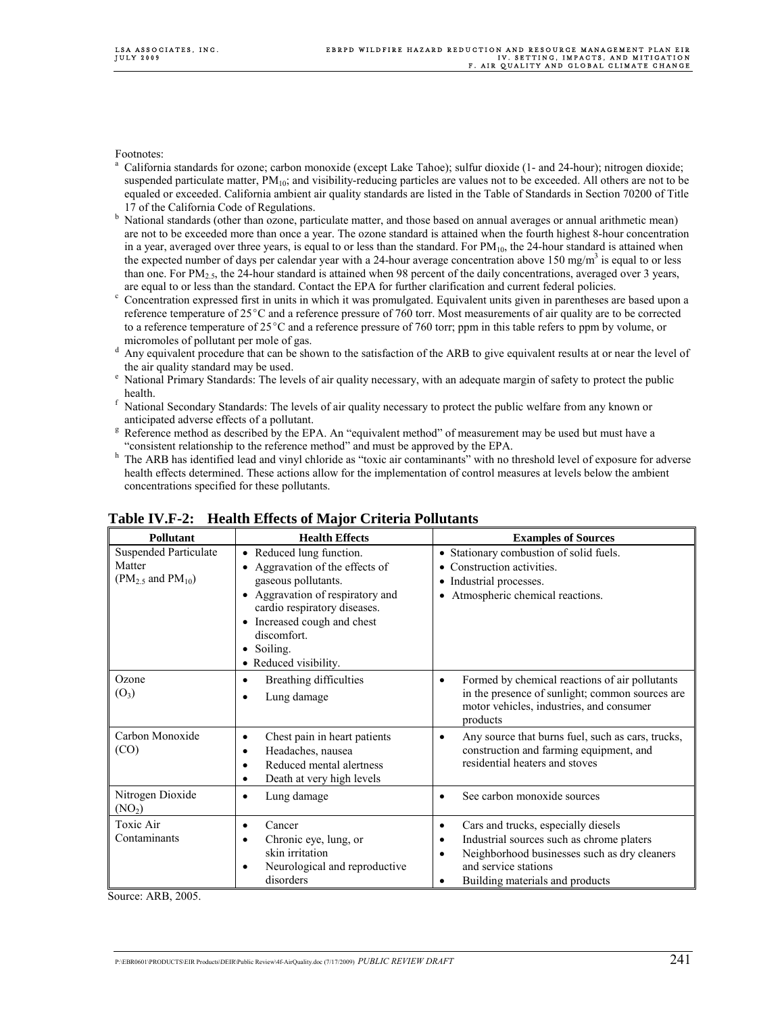Footnotes:

- a California standards for ozone; carbon monoxide (except Lake Tahoe); sulfur dioxide (1- and 24-hour); nitrogen dioxide; suspended particulate matter,  $PM_{10}$ ; and visibility-reducing particles are values not to be exceeded. All others are not to be equaled or exceeded. California ambient air quality standards are listed in the Table of Standards in Section 70200 of Title 17 of the California Code of Regulations.<br> $\frac{b}{b}$  National standards (other than ozone part
- National standards (other than ozone, particulate matter, and those based on annual averages or annual arithmetic mean) are not to be exceeded more than once a year. The ozone standard is attained when the fourth highest 8-hour concentration in a year, averaged over three years, is equal to or less than the standard. For  $PM_{10}$ , the 24-hour standard is attained when the expected number of days per calendar year with a 24-hour average concentration above 150 mg/m<sup>3</sup> is equal to or less than one. For  $PM_{2.5}$ , the 24-hour standard is attained when 98 percent of the daily concentrations, averaged over 3 years, are equal to or less than the standard. Contact the EPA for further clarification and current federal policies.
- Concentration expressed first in units in which it was promulgated. Equivalent units given in parentheses are based upon a reference temperature of  $25^{\circ}$ C and a reference pressure of 760 torr. Most measurements of air quality are to be corrected to a reference temperature of  $25^{\circ}$ C and a reference pressure of 760 torr; ppm in this table refers to ppm by volume, or micromoles of pollutant per mole of gas.<br> $\frac{d}{dx}$  Any equivalent procedure that can be shown
- Any equivalent procedure that can be shown to the satisfaction of the ARB to give equivalent results at or near the level of the air quality standard may be used.<br><sup>e</sup> National Primary Standards: The leve
- National Primary Standards: The levels of air quality necessary, with an adequate margin of safety to protect the public health.
- National Secondary Standards: The levels of air quality necessary to protect the public welfare from any known or anticipated adverse effects of a pollutant.
- <sup>8</sup> Reference method as described by the EPA. An "equivalent method" of measurement may be used but must have a "consistent relationship to the reference method" and must be approved by the EPA.  $h$  The APB has identified lead and vinyl chloride as "toxic air contaminants" with no t
- The ARB has identified lead and vinyl chloride as "toxic air contaminants" with no threshold level of exposure for adverse health effects determined. These actions allow for the implementation of control measures at levels below the ambient concentrations specified for these pollutants.

| Pollutant                                                       | <b>Health Effects</b>                                                                                                                                                                                                                                                           | <b>Examples of Sources</b>                                                                                                                                                                                                      |
|-----------------------------------------------------------------|---------------------------------------------------------------------------------------------------------------------------------------------------------------------------------------------------------------------------------------------------------------------------------|---------------------------------------------------------------------------------------------------------------------------------------------------------------------------------------------------------------------------------|
| <b>Suspended Particulate</b><br>Matter<br>$(PM2.5$ and $PM10$ ) | • Reduced lung function.<br>Aggravation of the effects of<br>$\bullet$<br>gaseous pollutants.<br>• Aggravation of respiratory and<br>cardio respiratory diseases.<br>Increased cough and chest<br>$\bullet$<br>discomfort.<br>Soiling.<br>٠<br>Reduced visibility.<br>$\bullet$ | • Stationary combustion of solid fuels.<br>Construction activities.<br>• Industrial processes.<br>Atmospheric chemical reactions.<br>$\bullet$                                                                                  |
| Ozone<br>$(O_3)$                                                | Breathing difficulties<br>٠<br>Lung damage<br>$\bullet$                                                                                                                                                                                                                         | Formed by chemical reactions of air pollutants<br>$\bullet$<br>in the presence of sunlight; common sources are<br>motor vehicles, industries, and consumer<br>products                                                          |
| Carbon Monoxide<br>(CO)                                         | Chest pain in heart patients<br>$\bullet$<br>Headaches, nausea<br>$\bullet$<br>Reduced mental alertness<br>٠<br>Death at very high levels<br>٠                                                                                                                                  | Any source that burns fuel, such as cars, trucks,<br>$\bullet$<br>construction and farming equipment, and<br>residential heaters and stoves                                                                                     |
| Nitrogen Dioxide<br>(NO <sub>2</sub> )                          | Lung damage<br>$\bullet$                                                                                                                                                                                                                                                        | See carbon monoxide sources<br>$\bullet$                                                                                                                                                                                        |
| Toxic Air<br>Contaminants                                       | Cancer<br>$\bullet$<br>Chronic eye, lung, or<br>٠<br>skin irritation<br>Neurological and reproductive<br>٠<br>disorders                                                                                                                                                         | Cars and trucks, especially diesels<br>$\bullet$<br>Industrial sources such as chrome platers<br>٠<br>Neighborhood businesses such as dry cleaners<br>$\bullet$<br>and service stations<br>Building materials and products<br>٠ |

# **Table IV.F-2: Health Effects of Major Criteria Pollutants**

Source: ARB, 2005.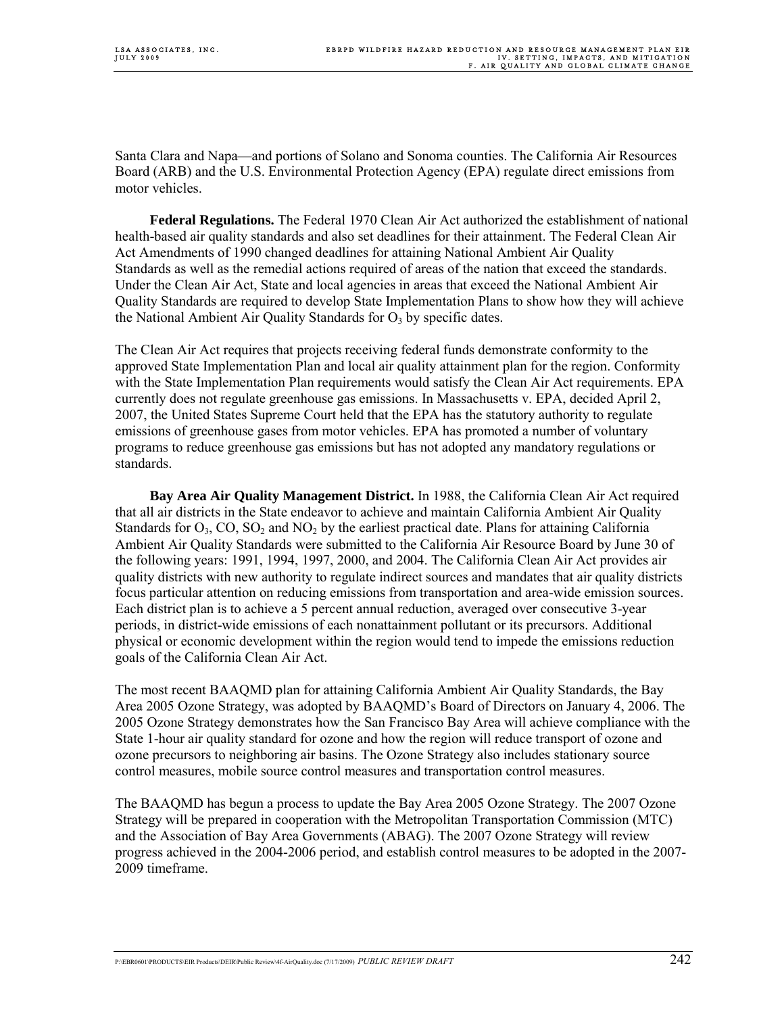Santa Clara and Napa—and portions of Solano and Sonoma counties. The California Air Resources Board (ARB) and the U.S. Environmental Protection Agency (EPA) regulate direct emissions from motor vehicles.

**Federal Regulations.** The Federal 1970 Clean Air Act authorized the establishment of national health-based air quality standards and also set deadlines for their attainment. The Federal Clean Air Act Amendments of 1990 changed deadlines for attaining National Ambient Air Quality Standards as well as the remedial actions required of areas of the nation that exceed the standards. Under the Clean Air Act, State and local agencies in areas that exceed the National Ambient Air Quality Standards are required to develop State Implementation Plans to show how they will achieve the National Ambient Air Quality Standards for  $O<sub>3</sub>$  by specific dates.

The Clean Air Act requires that projects receiving federal funds demonstrate conformity to the approved State Implementation Plan and local air quality attainment plan for the region. Conformity with the State Implementation Plan requirements would satisfy the Clean Air Act requirements. EPA currently does not regulate greenhouse gas emissions. In Massachusetts v. EPA, decided April 2, 2007, the United States Supreme Court held that the EPA has the statutory authority to regulate emissions of greenhouse gases from motor vehicles. EPA has promoted a number of voluntary programs to reduce greenhouse gas emissions but has not adopted any mandatory regulations or standards.

**Bay Area Air Quality Management District.** In 1988, the California Clean Air Act required that all air districts in the State endeavor to achieve and maintain California Ambient Air Quality Standards for  $O_3$ ,  $CO$ ,  $SO_2$  and  $NO_2$  by the earliest practical date. Plans for attaining California Ambient Air Quality Standards were submitted to the California Air Resource Board by June 30 of the following years: 1991, 1994, 1997, 2000, and 2004. The California Clean Air Act provides air quality districts with new authority to regulate indirect sources and mandates that air quality districts focus particular attention on reducing emissions from transportation and area-wide emission sources. Each district plan is to achieve a 5 percent annual reduction, averaged over consecutive 3-year periods, in district-wide emissions of each nonattainment pollutant or its precursors. Additional physical or economic development within the region would tend to impede the emissions reduction goals of the California Clean Air Act.

The most recent BAAQMD plan for attaining California Ambient Air Quality Standards, the Bay Area 2005 Ozone Strategy, was adopted by BAAQMD's Board of Directors on January 4, 2006. The 2005 Ozone Strategy demonstrates how the San Francisco Bay Area will achieve compliance with the State 1-hour air quality standard for ozone and how the region will reduce transport of ozone and ozone precursors to neighboring air basins. The Ozone Strategy also includes stationary source control measures, mobile source control measures and transportation control measures.

The BAAQMD has begun a process to update the Bay Area 2005 Ozone Strategy. The 2007 Ozone Strategy will be prepared in cooperation with the Metropolitan Transportation Commission (MTC) and the Association of Bay Area Governments (ABAG). The 2007 Ozone Strategy will review progress achieved in the 2004-2006 period, and establish control measures to be adopted in the 2007- 2009 timeframe.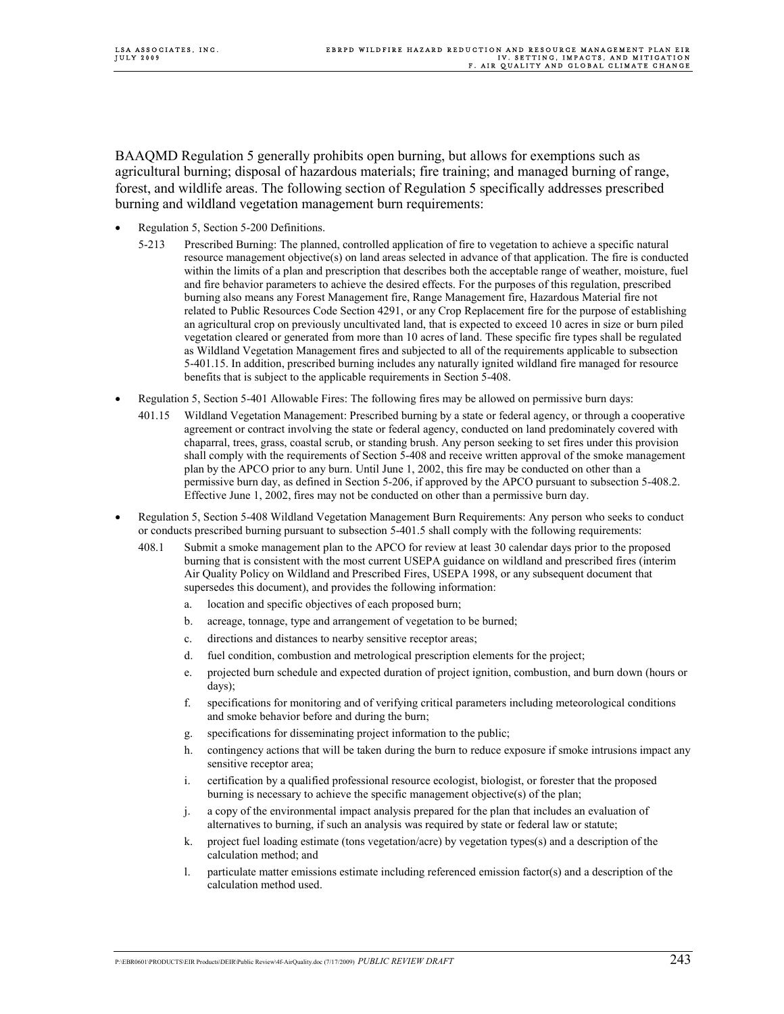BAAQMD Regulation 5 generally prohibits open burning, but allows for exemptions such as agricultural burning; disposal of hazardous materials; fire training; and managed burning of range, forest, and wildlife areas. The following section of Regulation 5 specifically addresses prescribed burning and wildland vegetation management burn requirements:

- Regulation 5, Section 5-200 Definitions.
	- 5-213 Prescribed Burning: The planned, controlled application of fire to vegetation to achieve a specific natural resource management objective(s) on land areas selected in advance of that application. The fire is conducted within the limits of a plan and prescription that describes both the acceptable range of weather, moisture, fuel and fire behavior parameters to achieve the desired effects. For the purposes of this regulation, prescribed burning also means any Forest Management fire, Range Management fire, Hazardous Material fire not related to Public Resources Code Section 4291, or any Crop Replacement fire for the purpose of establishing an agricultural crop on previously uncultivated land, that is expected to exceed 10 acres in size or burn piled vegetation cleared or generated from more than 10 acres of land. These specific fire types shall be regulated as Wildland Vegetation Management fires and subjected to all of the requirements applicable to subsection 5-401.15. In addition, prescribed burning includes any naturally ignited wildland fire managed for resource benefits that is subject to the applicable requirements in Section 5-408.
- Regulation 5, Section 5-401 Allowable Fires: The following fires may be allowed on permissive burn days:
	- 401.15 Wildland Vegetation Management: Prescribed burning by a state or federal agency, or through a cooperative agreement or contract involving the state or federal agency, conducted on land predominately covered with chaparral, trees, grass, coastal scrub, or standing brush. Any person seeking to set fires under this provision shall comply with the requirements of Section 5-408 and receive written approval of the smoke management plan by the APCO prior to any burn. Until June 1, 2002, this fire may be conducted on other than a permissive burn day, as defined in Section 5-206, if approved by the APCO pursuant to subsection 5-408.2. Effective June 1, 2002, fires may not be conducted on other than a permissive burn day.
- Regulation 5, Section 5-408 Wildland Vegetation Management Burn Requirements: Any person who seeks to conduct or conducts prescribed burning pursuant to subsection 5-401.5 shall comply with the following requirements:
	- 408.1 Submit a smoke management plan to the APCO for review at least 30 calendar days prior to the proposed burning that is consistent with the most current USEPA guidance on wildland and prescribed fires (interim Air Quality Policy on Wildland and Prescribed Fires, USEPA 1998, or any subsequent document that supersedes this document), and provides the following information:
		- a. location and specific objectives of each proposed burn;
		- b. acreage, tonnage, type and arrangement of vegetation to be burned;
		- c. directions and distances to nearby sensitive receptor areas;
		- d. fuel condition, combustion and metrological prescription elements for the project;
		- e. projected burn schedule and expected duration of project ignition, combustion, and burn down (hours or days);
		- f. specifications for monitoring and of verifying critical parameters including meteorological conditions and smoke behavior before and during the burn;
		- g. specifications for disseminating project information to the public;
		- h. contingency actions that will be taken during the burn to reduce exposure if smoke intrusions impact any sensitive receptor area;
		- i. certification by a qualified professional resource ecologist, biologist, or forester that the proposed burning is necessary to achieve the specific management objective(s) of the plan;
		- j. a copy of the environmental impact analysis prepared for the plan that includes an evaluation of alternatives to burning, if such an analysis was required by state or federal law or statute;
		- k. project fuel loading estimate (tons vegetation/acre) by vegetation types(s) and a description of the calculation method; and
		- l. particulate matter emissions estimate including referenced emission factor(s) and a description of the calculation method used.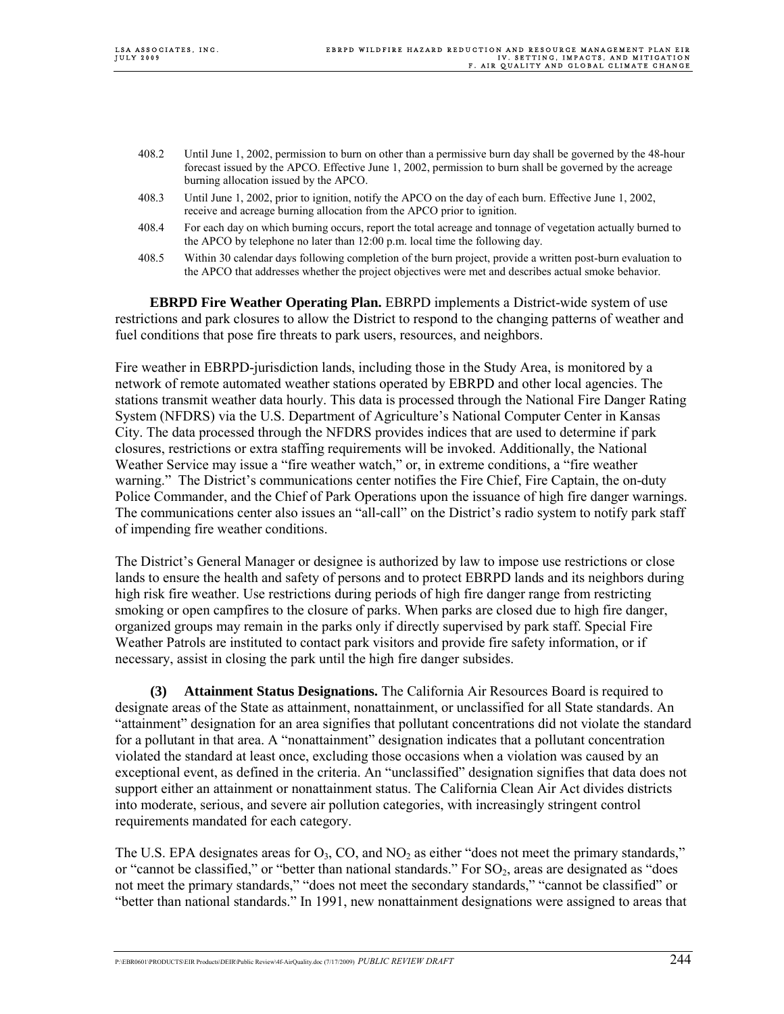- 408.2 Until June 1, 2002, permission to burn on other than a permissive burn day shall be governed by the 48-hour forecast issued by the APCO. Effective June 1, 2002, permission to burn shall be governed by the acreage burning allocation issued by the APCO.
- 408.3 Until June 1, 2002, prior to ignition, notify the APCO on the day of each burn. Effective June 1, 2002, receive and acreage burning allocation from the APCO prior to ignition.
- 408.4 For each day on which burning occurs, report the total acreage and tonnage of vegetation actually burned to the APCO by telephone no later than 12:00 p.m. local time the following day.
- 408.5 Within 30 calendar days following completion of the burn project, provide a written post-burn evaluation to the APCO that addresses whether the project objectives were met and describes actual smoke behavior.

**EBRPD Fire Weather Operating Plan.** EBRPD implements a District-wide system of use restrictions and park closures to allow the District to respond to the changing patterns of weather and fuel conditions that pose fire threats to park users, resources, and neighbors.

Fire weather in EBRPD-jurisdiction lands, including those in the Study Area, is monitored by a network of remote automated weather stations operated by EBRPD and other local agencies. The stations transmit weather data hourly. This data is processed through the National Fire Danger Rating System (NFDRS) via the U.S. Department of Agriculture's National Computer Center in Kansas City. The data processed through the NFDRS provides indices that are used to determine if park closures, restrictions or extra staffing requirements will be invoked. Additionally, the National Weather Service may issue a "fire weather watch," or, in extreme conditions, a "fire weather warning." The District's communications center notifies the Fire Chief, Fire Captain, the on-duty Police Commander, and the Chief of Park Operations upon the issuance of high fire danger warnings. The communications center also issues an "all-call" on the District's radio system to notify park staff of impending fire weather conditions.

The District's General Manager or designee is authorized by law to impose use restrictions or close lands to ensure the health and safety of persons and to protect EBRPD lands and its neighbors during high risk fire weather. Use restrictions during periods of high fire danger range from restricting smoking or open campfires to the closure of parks. When parks are closed due to high fire danger, organized groups may remain in the parks only if directly supervised by park staff. Special Fire Weather Patrols are instituted to contact park visitors and provide fire safety information, or if necessary, assist in closing the park until the high fire danger subsides.

**(3) Attainment Status Designations.** The California Air Resources Board is required to designate areas of the State as attainment, nonattainment, or unclassified for all State standards. An "attainment" designation for an area signifies that pollutant concentrations did not violate the standard for a pollutant in that area. A "nonattainment" designation indicates that a pollutant concentration violated the standard at least once, excluding those occasions when a violation was caused by an exceptional event, as defined in the criteria. An "unclassified" designation signifies that data does not support either an attainment or nonattainment status. The California Clean Air Act divides districts into moderate, serious, and severe air pollution categories, with increasingly stringent control requirements mandated for each category.

The U.S. EPA designates areas for  $O_3$ , CO, and NO<sub>2</sub> as either "does not meet the primary standards," or "cannot be classified," or "better than national standards." For  $SO<sub>2</sub>$ , areas are designated as "does" not meet the primary standards," "does not meet the secondary standards," "cannot be classified" or "better than national standards." In 1991, new nonattainment designations were assigned to areas that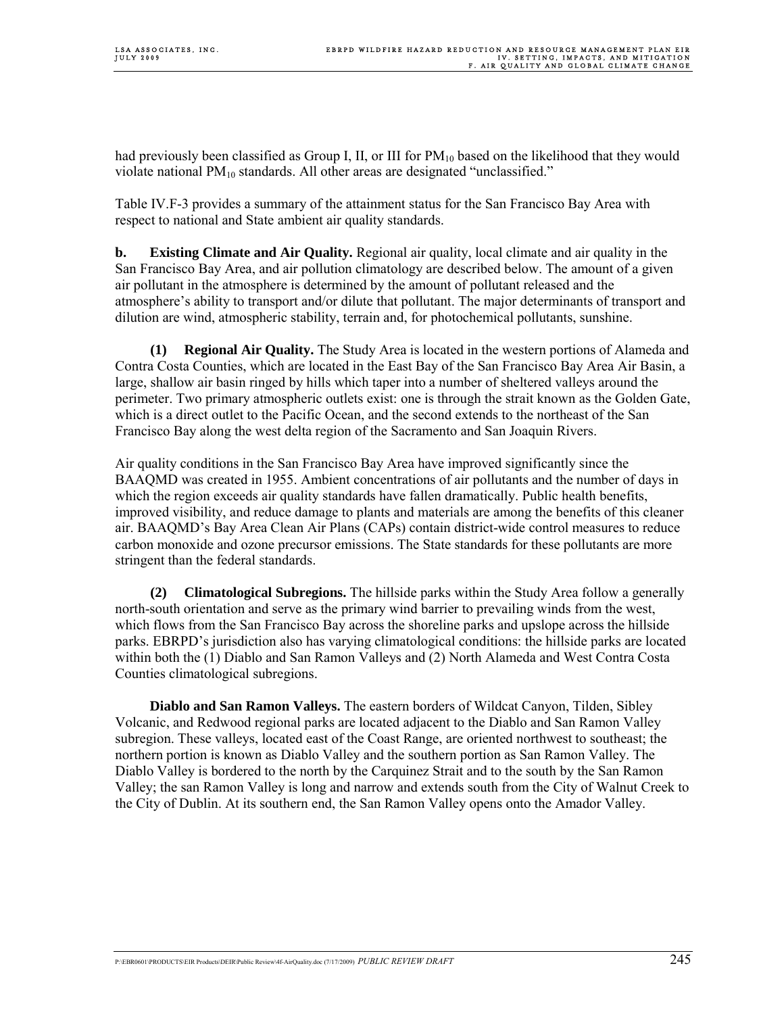had previously been classified as Group I, II, or III for  $PM_{10}$  based on the likelihood that they would violate national  $PM_{10}$  standards. All other areas are designated "unclassified."

Table IV.F-3 provides a summary of the attainment status for the San Francisco Bay Area with respect to national and State ambient air quality standards.

**b. Existing Climate and Air Quality.** Regional air quality, local climate and air quality in the San Francisco Bay Area, and air pollution climatology are described below. The amount of a given air pollutant in the atmosphere is determined by the amount of pollutant released and the atmosphere's ability to transport and/or dilute that pollutant. The major determinants of transport and dilution are wind, atmospheric stability, terrain and, for photochemical pollutants, sunshine.

**(1) Regional Air Quality.** The Study Area is located in the western portions of Alameda and Contra Costa Counties, which are located in the East Bay of the San Francisco Bay Area Air Basin, a large, shallow air basin ringed by hills which taper into a number of sheltered valleys around the perimeter. Two primary atmospheric outlets exist: one is through the strait known as the Golden Gate, which is a direct outlet to the Pacific Ocean, and the second extends to the northeast of the San Francisco Bay along the west delta region of the Sacramento and San Joaquin Rivers.

Air quality conditions in the San Francisco Bay Area have improved significantly since the BAAQMD was created in 1955. Ambient concentrations of air pollutants and the number of days in which the region exceeds air quality standards have fallen dramatically. Public health benefits, improved visibility, and reduce damage to plants and materials are among the benefits of this cleaner air. BAAQMD's Bay Area Clean Air Plans (CAPs) contain district-wide control measures to reduce carbon monoxide and ozone precursor emissions. The State standards for these pollutants are more stringent than the federal standards.

**(2) Climatological Subregions.** The hillside parks within the Study Area follow a generally north-south orientation and serve as the primary wind barrier to prevailing winds from the west, which flows from the San Francisco Bay across the shoreline parks and upslope across the hillside parks. EBRPD's jurisdiction also has varying climatological conditions: the hillside parks are located within both the (1) Diablo and San Ramon Valleys and (2) North Alameda and West Contra Costa Counties climatological subregions.

**Diablo and San Ramon Valleys.** The eastern borders of Wildcat Canyon, Tilden, Sibley Volcanic, and Redwood regional parks are located adjacent to the Diablo and San Ramon Valley subregion. These valleys, located east of the Coast Range, are oriented northwest to southeast; the northern portion is known as Diablo Valley and the southern portion as San Ramon Valley. The Diablo Valley is bordered to the north by the Carquinez Strait and to the south by the San Ramon Valley; the san Ramon Valley is long and narrow and extends south from the City of Walnut Creek to the City of Dublin. At its southern end, the San Ramon Valley opens onto the Amador Valley.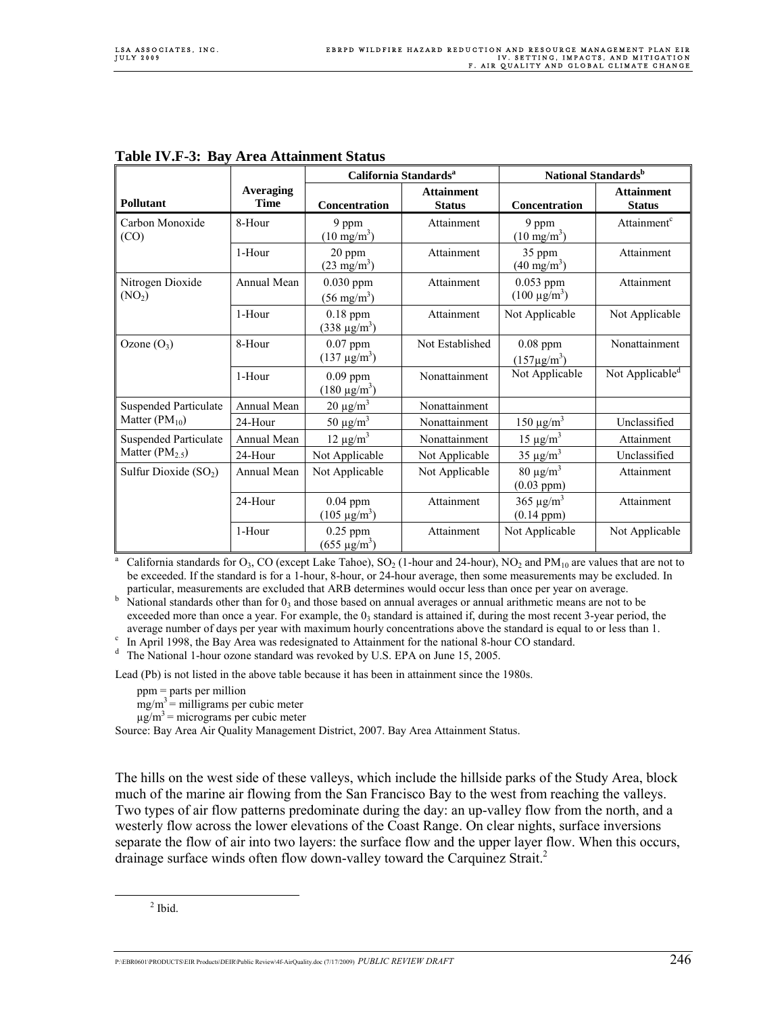|                                        |                          | California Standards <sup>a</sup>      |                                    | National Standards <sup>b</sup>       |                                    |  |
|----------------------------------------|--------------------------|----------------------------------------|------------------------------------|---------------------------------------|------------------------------------|--|
| Pollutant                              | Averaging<br><b>Time</b> | Concentration                          | <b>Attainment</b><br><b>Status</b> | Concentration                         | <b>Attainment</b><br><b>Status</b> |  |
| Carbon Monoxide<br>(CO)                | 8-Hour                   | 9 ppm<br>$(10 \text{ mg/m}^3)$         | Attainment                         | 9 ppm<br>$(10 \text{ mg/m}^3)$        | Attainment <sup>c</sup>            |  |
|                                        | 1-Hour                   | 20 ppm<br>$(23 \text{ mg/m}^3)$        | Attainment                         | 35 ppm<br>$(40 \text{ mg/m}^3)$       | Attainment                         |  |
| Nitrogen Dioxide<br>(NO <sub>2</sub> ) | Annual Mean              | $0.030$ ppm<br>$(56 \text{ mg/m}^3)$   | Attainment                         | $0.053$ ppm<br>$(100 \text{ µg/m}^3)$ | Attainment                         |  |
|                                        | 1-Hour                   | $0.18$ ppm<br>(338 μg/m <sup>3</sup> ) | Attainment                         | Not Applicable                        | Not Applicable                     |  |
| Ozone $(O_3)$                          | 8-Hour                   | $0.07$ ppm<br>$(137 \text{ µg/m}^3)$   | Not Established                    | $0.08$ ppm<br>$(157 \mu g/m^3)$       | Nonattainment                      |  |
|                                        | 1-Hour                   | $0.09$ ppm<br>$(180 \mu g/m^3)$        | Nonattainment                      | Not Applicable                        | Not Applicable <sup>d</sup>        |  |
| <b>Suspended Particulate</b>           | Annual Mean              | $20 \mu g/m^3$                         | Nonattainment                      |                                       |                                    |  |
| Matter $(PM_{10})$                     | 24-Hour                  | 50 $\mu$ g/m <sup>3</sup>              | Nonattainment                      | $150 \mu g/m^3$                       | Unclassified                       |  |
| <b>Suspended Particulate</b>           | Annual Mean              | $12 \mu g/m^3$                         | Nonattainment                      | $15 \mu g/m^3$                        | Attainment                         |  |
| Matter $(PM2.5)$                       | 24-Hour                  | Not Applicable                         | Not Applicable                     | $35 \mu g/m^3$                        | Unclassified                       |  |
| Sulfur Dioxide $(SO2)$                 | Annual Mean              | Not Applicable                         | Not Applicable                     | $80 \mu g/m^3$<br>$(0.03$ ppm $)$     | Attainment                         |  |
|                                        | 24-Hour                  | $0.04$ ppm<br>$(105 \mu g/m^3)$        | Attainment                         | $365 \mu g/m^3$<br>$(0.14$ ppm $)$    | Attainment                         |  |
|                                        | 1-Hour                   | $0.25$ ppm<br>(655 µg/m <sup>3</sup> ) | Attainment                         | Not Applicable                        | Not Applicable                     |  |

#### **Table IV.F-3: Bay Area Attainment Status**

a California standards for  $O_3$ , CO (except Lake Tahoe), SO<sub>2</sub> (1-hour and 24-hour), NO<sub>2</sub> and PM<sub>10</sub> are values that are not to be exceeded. If the standard is for a 1-hour, 8-hour, or 24-hour average, then some measurements may be excluded. In particular, measurements are excluded that ARB determines would occur less than once per year on average. b

 $h$  National standards other than for  $0<sub>3</sub>$  and those based on annual averages or annual arithmetic means are not to be exceeded more than once a year. For example, the  $0<sub>3</sub>$  standard is attained if, during the most recent 3-year period, the average number of days per year with maximum hourly concentrations above the standard is equal to or less than 1.

<sup>c</sup> In April 1998, the Bay Area was redesignated to Attainment for the national 8-hour CO standard.

<sup>d</sup> The National 1-hour ozone standard was revoked by U.S. EPA on June 15, 2005.

Lead (Pb) is not listed in the above table because it has been in attainment since the 1980s.

ppm = parts per million

 $mg/m<sup>3</sup> =$  milligrams per cubic meter

 $\mu$ g/m<sup>3</sup> = micrograms per cubic meter

Source: Bay Area Air Quality Management District, 2007. Bay Area Attainment Status.

The hills on the west side of these valleys, which include the hillside parks of the Study Area, block much of the marine air flowing from the San Francisco Bay to the west from reaching the valleys. Two types of air flow patterns predominate during the day: an up-valley flow from the north, and a westerly flow across the lower elevations of the Coast Range. On clear nights, surface inversions separate the flow of air into two layers: the surface flow and the upper layer flow. When this occurs, drainage surface winds often flow down-valley toward the Carquinez Strait.<sup>2</sup>

 $\frac{1}{2}$  $<sup>2</sup>$  Ibid.</sup>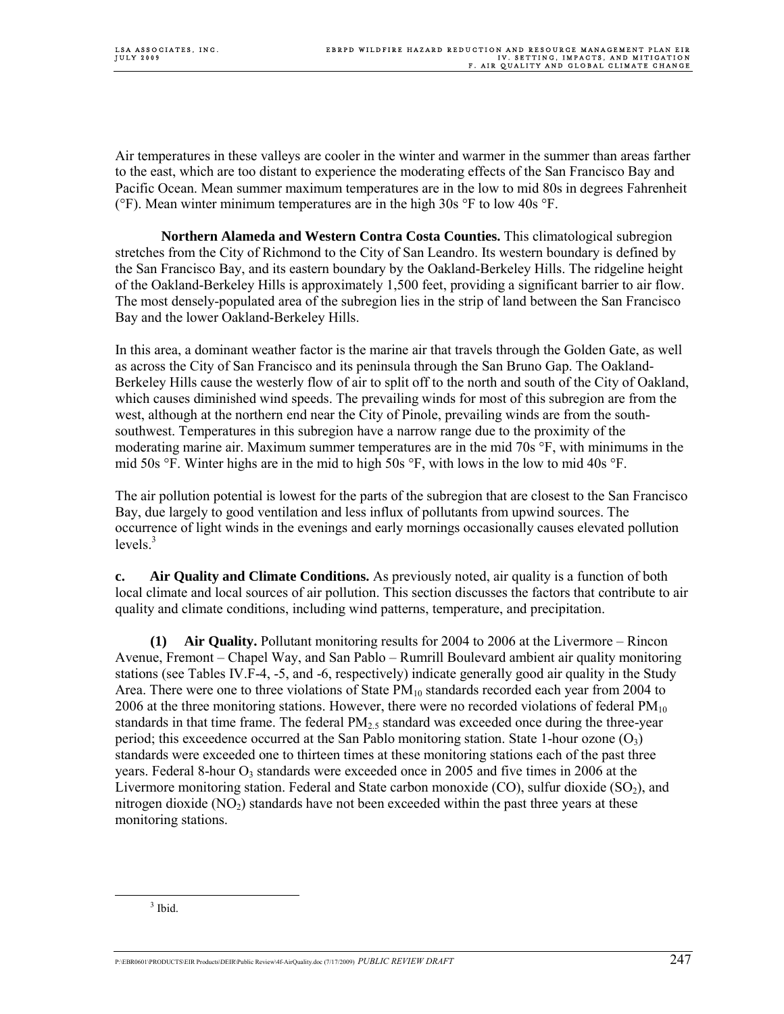Air temperatures in these valleys are cooler in the winter and warmer in the summer than areas farther to the east, which are too distant to experience the moderating effects of the San Francisco Bay and Pacific Ocean. Mean summer maximum temperatures are in the low to mid 80s in degrees Fahrenheit ( ${}^{\circ}$ F). Mean winter minimum temperatures are in the high 30s  ${}^{\circ}$ F to low 40s  ${}^{\circ}$ F.

**Northern Alameda and Western Contra Costa Counties.** This climatological subregion stretches from the City of Richmond to the City of San Leandro. Its western boundary is defined by the San Francisco Bay, and its eastern boundary by the Oakland-Berkeley Hills. The ridgeline height of the Oakland-Berkeley Hills is approximately 1,500 feet, providing a significant barrier to air flow. The most densely-populated area of the subregion lies in the strip of land between the San Francisco Bay and the lower Oakland-Berkeley Hills.

In this area, a dominant weather factor is the marine air that travels through the Golden Gate, as well as across the City of San Francisco and its peninsula through the San Bruno Gap. The Oakland-Berkeley Hills cause the westerly flow of air to split off to the north and south of the City of Oakland, which causes diminished wind speeds. The prevailing winds for most of this subregion are from the west, although at the northern end near the City of Pinole, prevailing winds are from the southsouthwest. Temperatures in this subregion have a narrow range due to the proximity of the moderating marine air. Maximum summer temperatures are in the mid 70s °F, with minimums in the mid 50s °F. Winter highs are in the mid to high 50s °F, with lows in the low to mid 40s °F.

The air pollution potential is lowest for the parts of the subregion that are closest to the San Francisco Bay, due largely to good ventilation and less influx of pollutants from upwind sources. The occurrence of light winds in the evenings and early mornings occasionally causes elevated pollution  $levels.<sup>3</sup>$ 

**c. Air Quality and Climate Conditions.** As previously noted, air quality is a function of both local climate and local sources of air pollution. This section discusses the factors that contribute to air quality and climate conditions, including wind patterns, temperature, and precipitation.

**(1) Air Quality.** Pollutant monitoring results for 2004 to 2006 at the Livermore – Rincon Avenue, Fremont – Chapel Way, and San Pablo – Rumrill Boulevard ambient air quality monitoring stations (see Tables IV.F-4, -5, and -6, respectively) indicate generally good air quality in the Study Area. There were one to three violations of State PM<sub>10</sub> standards recorded each year from 2004 to 2006 at the three monitoring stations. However, there were no recorded violations of federal  $PM_{10}$ standards in that time frame. The federal  $PM<sub>25</sub>$  standard was exceeded once during the three-year period; this exceedence occurred at the San Pablo monitoring station. State 1-hour ozone  $(O_3)$ standards were exceeded one to thirteen times at these monitoring stations each of the past three years. Federal 8-hour  $O_3$  standards were exceeded once in 2005 and five times in 2006 at the Livermore monitoring station. Federal and State carbon monoxide  $(CO)$ , sulfur dioxide  $(SO<sub>2</sub>)$ , and nitrogen dioxide  $(NO<sub>2</sub>)$  standards have not been exceeded within the past three years at these monitoring stations.

 $\frac{1}{3}$  $3$  Ibid.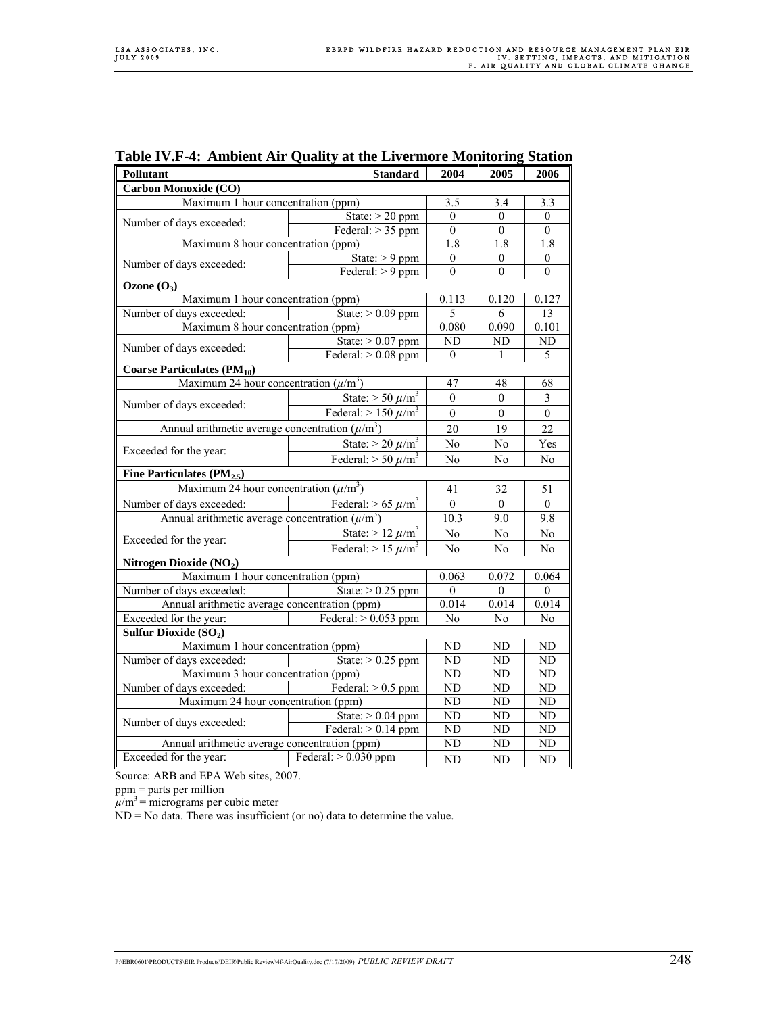| Pollutant                                             | 2004                                | 2005             | 2006             |                  |  |  |  |
|-------------------------------------------------------|-------------------------------------|------------------|------------------|------------------|--|--|--|
| <b>Standard</b><br>Carbon Monoxide (CO)               |                                     |                  |                  |                  |  |  |  |
| Maximum 1 hour concentration (ppm)                    |                                     |                  | 3.4              | 3.3              |  |  |  |
|                                                       | State: $> 20$ ppm                   | $\theta$         | $\theta$         | $\mathbf{0}$     |  |  |  |
| Number of days exceeded:                              | Federal: $> 35$ ppm                 | $\overline{0}$   | $\overline{0}$   | $\mathbf{0}$     |  |  |  |
| Maximum 8 hour concentration (ppm)                    |                                     | $\overline{1.8}$ | $\overline{1.8}$ | 1.8              |  |  |  |
|                                                       | State: $> 9$ ppm                    | $\theta$         | $\theta$         | $\mathbf{0}$     |  |  |  |
| Number of days exceeded:                              | Federal: $> 9$ ppm                  | $\boldsymbol{0}$ | $\boldsymbol{0}$ | $\mathbf{0}$     |  |  |  |
| Ozone $(O_3)$                                         |                                     |                  |                  |                  |  |  |  |
| Maximum 1 hour concentration (ppm)                    |                                     | 0.113            | 0.120            | 0.127            |  |  |  |
| Number of days exceeded:                              | State: $> 0.09$ ppm                 | 5                | 6                | 13               |  |  |  |
| Maximum 8 hour concentration (ppm)                    |                                     | 0.080            | 0.090            | 0.101            |  |  |  |
| Number of days exceeded:                              | State: $> 0.07$ ppm                 | ND               | ND               | $\rm ND$         |  |  |  |
|                                                       | Federal: $> 0.08$ ppm               | $\theta$         | 1                | 5                |  |  |  |
| Coarse Particulates $(PM_{10})$                       |                                     |                  |                  |                  |  |  |  |
| Maximum 24 hour concentration $(\mu/m^3)$             |                                     | 47               | 48               | 68               |  |  |  |
|                                                       | State: $> 50 \ \mu/m^3$             | $\mathbf{0}$     | $\mathbf{0}$     | $\mathfrak{Z}$   |  |  |  |
| Number of days exceeded:                              | Federal: $> 150 \ \mu/m^3$          | $\boldsymbol{0}$ | $\boldsymbol{0}$ | $\boldsymbol{0}$ |  |  |  |
| Annual arithmetic average concentration $(\mu/m^3)$   |                                     |                  | 19               | 22               |  |  |  |
|                                                       | State: $>$ 20 $\mu$ /m <sup>3</sup> | No               | No               | Yes              |  |  |  |
| Exceeded for the year:                                | Federal: $> 50 \ \mu/m^3$           | N <sub>0</sub>   | N <sub>0</sub>   | No               |  |  |  |
| Fine Particulates $(PM_{2.5})$                        |                                     |                  |                  |                  |  |  |  |
| Maximum 24 hour concentration $(\mu/m^3)$             |                                     |                  | 32               | 51               |  |  |  |
| Federal: $> 65 \ \mu/m^3$<br>Number of days exceeded: |                                     | $\boldsymbol{0}$ | $\overline{0}$   | $\mathbf{0}$     |  |  |  |
| Annual arithmetic average concentration $(\mu/m^3)$   |                                     | 10.3             | 9.0              | 9.8              |  |  |  |
|                                                       | State: $> 12 \ \mu/m^3$             | No               | No               | No               |  |  |  |
| Exceeded for the year:                                | Federal: $> 15 \ \mu/m^3$           | No               | No               | No               |  |  |  |
| Nitrogen Dioxide (NO2)                                |                                     |                  |                  |                  |  |  |  |
| Maximum 1 hour concentration (ppm)                    |                                     |                  | 0.072            | 0.064            |  |  |  |
| Number of days exceeded:                              | State: $> 0.25$ ppm                 | $\mathbf{0}$     | $\theta$         | $\boldsymbol{0}$ |  |  |  |
| Annual arithmetic average concentration (ppm)         |                                     | 0.014            | 0.014            | 0.014            |  |  |  |
| Exceeded for the year:                                | Federal: $> 0.053$ ppm              | No               | No               | No               |  |  |  |
| Sulfur Dioxide (SO <sub>2</sub> )                     |                                     |                  |                  |                  |  |  |  |
| Maximum 1 hour concentration (ppm)                    |                                     |                  | ND               | ND               |  |  |  |
| Number of days exceeded:                              | State: $> 0.25$ ppm                 | ND               | <b>ND</b>        | ND               |  |  |  |
| Maximum 3 hour concentration (ppm)                    |                                     | N <sub>D</sub>   | N <sub>D</sub>   | ND               |  |  |  |
| Federal: $> 0.5$ ppm<br>Number of days exceeded:      |                                     | ND               | <b>ND</b>        | ND               |  |  |  |
| Maximum 24 hour concentration (ppm)                   |                                     |                  | $\overline{ND}$  | ND               |  |  |  |
|                                                       | State: $> 0.04$ ppm                 | ND               | N <sub>D</sub>   | ND               |  |  |  |
| Number of days exceeded:                              | Federal: $> 0.14$ ppm               | $\overline{ND}$  | N <sub>D</sub>   | ND               |  |  |  |
| Annual arithmetic average concentration (ppm)         |                                     |                  | ND               | ND               |  |  |  |
| Exceeded for the year:<br>Federal: $> 0.030$ ppm      |                                     | ND               | ND               | ND               |  |  |  |

#### **Table IV.F-4: Ambient Air Quality at the Livermore Monitoring Station**

Source: ARB and EPA Web sites, 2007.

ppm = parts per million

 $\mu/m^3$  = micrograms per cubic meter

ND = No data. There was insufficient (or no) data to determine the value.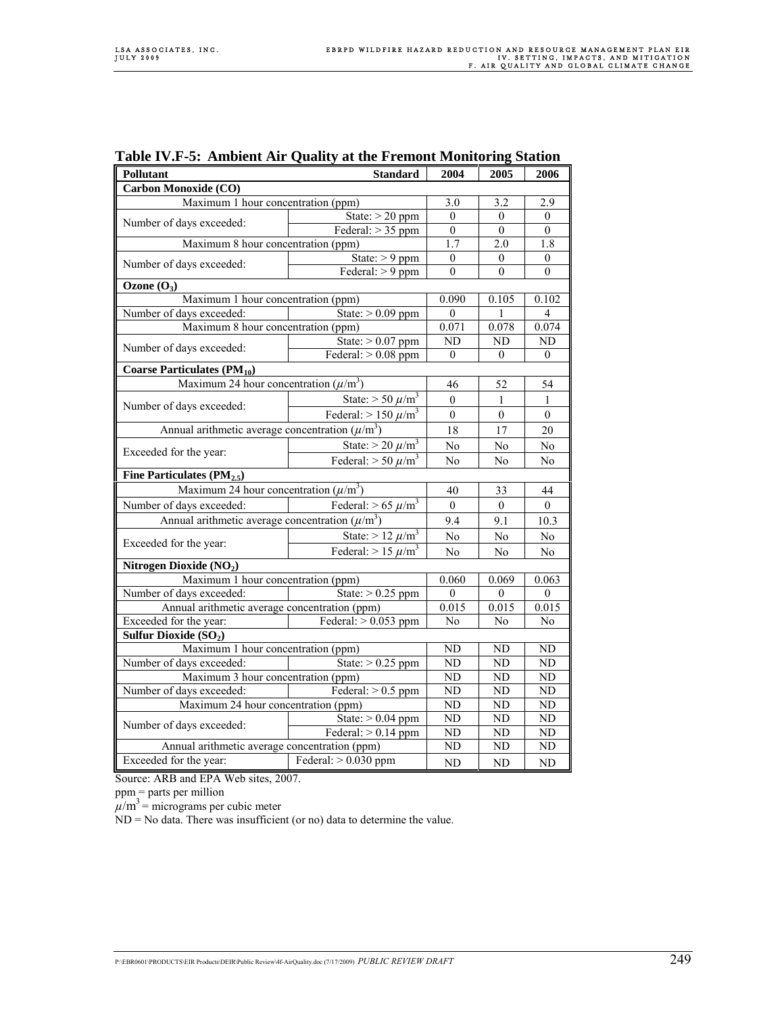| Pollutant                                                                              | 2004                                | 2005                      | 2006                      |                           |  |  |
|----------------------------------------------------------------------------------------|-------------------------------------|---------------------------|---------------------------|---------------------------|--|--|
| <b>Standard</b><br>Carbon Monoxide (CO)                                                |                                     |                           |                           |                           |  |  |
| Maximum 1 hour concentration (ppm)                                                     |                                     |                           | 3.2                       | 2.9                       |  |  |
| Number of days exceeded:                                                               | State: $> 20$ ppm                   | $\boldsymbol{0}$          | $\boldsymbol{0}$          | $\mathbf{0}$              |  |  |
|                                                                                        | Federal: $> 35$ ppm                 | $\mathbf{0}$              | $\overline{0}$            | $\overline{0}$            |  |  |
| Maximum 8 hour concentration (ppm)                                                     |                                     | 1.7                       | 2.0                       | 1.8                       |  |  |
| Number of days exceeded:                                                               | State: $> 9$ ppm                    | $\overline{0}$            | $\mathbf{0}$              | $\mathbf{0}$              |  |  |
|                                                                                        | Federal: $> 9$ ppm                  | $\theta$                  | $\theta$                  | $\theta$                  |  |  |
| Ozone $(O_3)$                                                                          |                                     |                           |                           |                           |  |  |
| Maximum 1 hour concentration (ppm)                                                     |                                     | 0.090                     | 0.105                     | 0.102                     |  |  |
| Number of days exceeded:                                                               | State: $> 0.09$ ppm                 | $\theta$                  | 1                         | $\overline{4}$            |  |  |
| Maximum 8 hour concentration (ppm)                                                     |                                     | 0.071                     | 0.078                     | 0.074                     |  |  |
| Number of days exceeded:                                                               | State: $> 0.07$ ppm                 | ND                        | ND                        | ND                        |  |  |
|                                                                                        | Federal: $> 0.08$ ppm               | $\mathbf{0}$              | $\overline{0}$            | $\overline{0}$            |  |  |
| Coarse Particulates $(PM_{10})$                                                        |                                     |                           |                           |                           |  |  |
| Maximum 24 hour concentration $(\mu/m^3)$                                              |                                     | 46                        | 52                        | 54                        |  |  |
|                                                                                        | State: $> 50 \ \mu/m^3$             | $\boldsymbol{0}$          | $\mathbf{1}$              | 1                         |  |  |
| Number of days exceeded:                                                               | Federal: $> 150 \ \mu/m^3$          | $\boldsymbol{0}$          | $\boldsymbol{0}$          | $\boldsymbol{0}$          |  |  |
| Annual arithmetic average concentration $(\mu/m^3)$                                    |                                     | 18                        | 17                        | 20                        |  |  |
|                                                                                        | State: $>$ 20 $\mu$ /m <sup>3</sup> | No                        | No                        | No                        |  |  |
| Exceeded for the year:                                                                 | Federal: $> 50 \ \mu/m^3$           | No                        | No                        | N <sub>0</sub>            |  |  |
| Fine Particulates $(PM_{2.5})$                                                         |                                     |                           |                           |                           |  |  |
| Maximum 24 hour concentration $(\mu/m^3)$                                              |                                     |                           | 33                        | 44                        |  |  |
| Number of days exceeded:                                                               | Federal: $> 65 \ \mu/m^3$           | 40<br>$\boldsymbol{0}$    | $\mathbf{0}$              | $\overline{0}$            |  |  |
| Annual arithmetic average concentration $(\overline{\mu/m^3})$                         |                                     |                           | 9.1                       | 10.3                      |  |  |
|                                                                                        | State: $> 12 \ \mu/m^3$             | 9.4<br>No                 | No                        | No                        |  |  |
| Exceeded for the year:                                                                 |                                     |                           |                           |                           |  |  |
|                                                                                        | Federal: $> 15 \ \mu/m^3$           | No                        | No                        | No                        |  |  |
| Nitrogen Dioxide (NO2)                                                                 |                                     |                           |                           |                           |  |  |
| Maximum 1 hour concentration (ppm)                                                     |                                     | 0.060                     | 0.069                     | 0.063                     |  |  |
| Number of days exceeded:                                                               | State: $> 0.25$ ppm                 | $\boldsymbol{0}$<br>0.015 | $\boldsymbol{0}$<br>0.015 | $\boldsymbol{0}$<br>0.015 |  |  |
| Annual arithmetic average concentration (ppm)<br>Exceeded for the year:                | Federal: $> 0.053$ ppm              | No                        | $\overline{No}$           | N <sub>0</sub>            |  |  |
|                                                                                        |                                     |                           |                           |                           |  |  |
| Sulfur Dioxide (SO <sub>2</sub> )<br>Maximum 1 hour concentration (ppm)                |                                     |                           |                           |                           |  |  |
|                                                                                        | State: $> 0.25$ ppm                 | ND<br>$\overline{ND}$     | ND<br>ND                  | ND                        |  |  |
| Number of days exceeded:                                                               |                                     | $\overline{ND}$           |                           | ND                        |  |  |
| Maximum 3 hour concentration (ppm)<br>Federal: $> 0.5$ ppm<br>Number of days exceeded: |                                     | ND                        | ND                        | ND                        |  |  |
| Maximum 24 hour concentration (ppm)                                                    | N <sub>D</sub>                      | ND<br>ND                  | ND<br>ND                  |                           |  |  |
|                                                                                        | State: $> 0.04$ ppm                 | $\overline{ND}$           | N <sub>D</sub>            | ND                        |  |  |
| Number of days exceeded:                                                               | Federal: $> 0.14$ ppm               | $\overline{ND}$           | ND                        | ND                        |  |  |
|                                                                                        |                                     | ND                        | N <sub>D</sub>            |                           |  |  |
| Annual arithmetic average concentration (ppm)<br>Exceeded for the year:                | Federal: $> 0.030$ ppm              |                           |                           | ND                        |  |  |
|                                                                                        |                                     | ND                        | ND                        | ND                        |  |  |

### **Table IV.F-5: Ambient Air Quality at the Fremont Monitoring Station**

Source: ARB and EPA Web sites, 2007.

ppm = parts per million

 $\mu/m^3$  = micrograms per cubic meter

 $ND = No$  data. There was insufficient (or no) data to determine the value.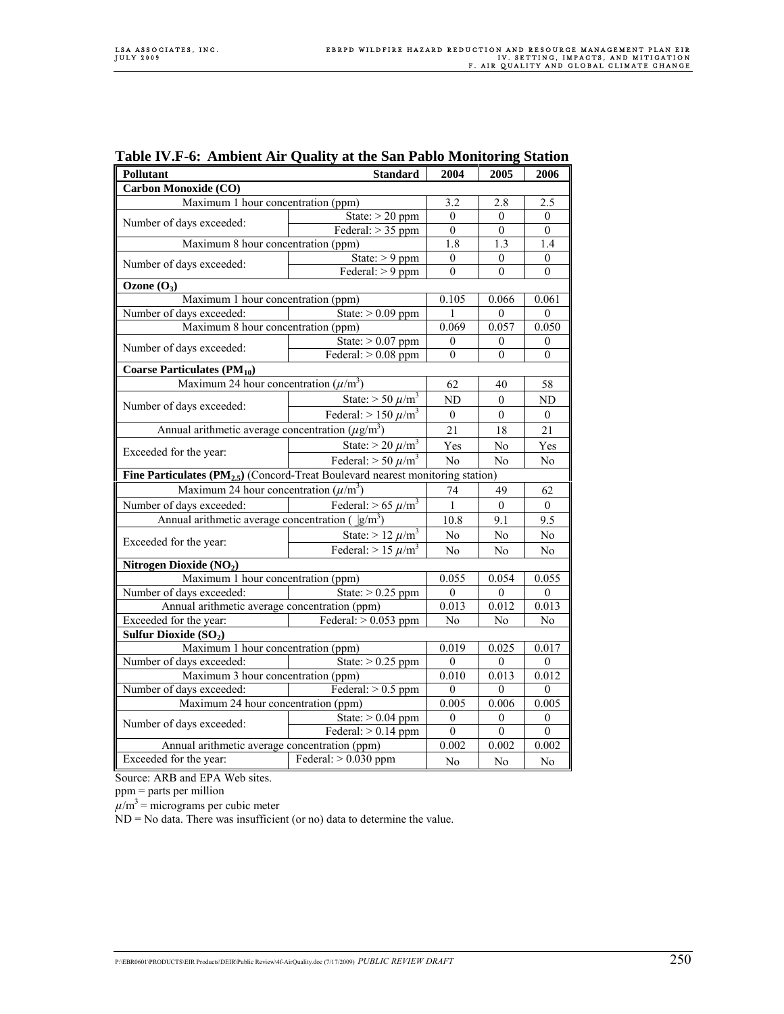| <b>Pollutant</b>                                                                               | 2004                                | 2005                 | 2006             |                  |  |  |
|------------------------------------------------------------------------------------------------|-------------------------------------|----------------------|------------------|------------------|--|--|
| <b>Standard</b><br>Carbon Monoxide (CO)                                                        |                                     |                      |                  |                  |  |  |
| Maximum 1 hour concentration (ppm)                                                             |                                     |                      | 2.8              | 2.5              |  |  |
|                                                                                                | State: $> 20$ ppm                   | $\overline{0}$       | $\overline{0}$   | $\Omega$         |  |  |
| Number of days exceeded:                                                                       | Federal: $> 35$ ppm                 | $\boldsymbol{0}$     | $\mathbf{0}$     | $\mathbf{0}$     |  |  |
| Maximum 8 hour concentration (ppm)                                                             |                                     | 1.8                  | 1.3              | 1.4              |  |  |
|                                                                                                | State: $> 9$ ppm                    | $\mathbf{0}$         | $\mathbf{0}$     | $\mathbf{0}$     |  |  |
| Number of days exceeded:                                                                       | Federal: $> 9$ ppm                  | $\overline{0}$       | $\theta$         | $\theta$         |  |  |
| Ozone $(O_3)$                                                                                  |                                     |                      |                  |                  |  |  |
| Maximum 1 hour concentration (ppm)                                                             |                                     | 0.105                | 0.066            | 0.061            |  |  |
| Number of days exceeded:                                                                       | State: $> 0.09$ ppm                 | 1                    | $\theta$         | $\overline{0}$   |  |  |
| Maximum 8 hour concentration (ppm)                                                             |                                     | 0.069                | 0.057            | 0.050            |  |  |
| Number of days exceeded:                                                                       | State: $> 0.07$ ppm                 | $\boldsymbol{0}$     | $\boldsymbol{0}$ | $\boldsymbol{0}$ |  |  |
|                                                                                                | Federal: $> 0.08$ ppm               | $\theta$             | $\theta$         | $\theta$         |  |  |
| <b>Coarse Particulates (PM10)</b>                                                              |                                     |                      |                  |                  |  |  |
| Maximum 24 hour concentration $(\mu/m^3)$                                                      |                                     | 62                   | 40               | 58               |  |  |
|                                                                                                | State: $> 50 \ \mu/m^3$             | ND                   | $\mathbf{0}$     | ND               |  |  |
| Number of days exceeded:                                                                       | Federal: $> 150 \ \mu/m^3$          | $\boldsymbol{0}$     | $\boldsymbol{0}$ | $\boldsymbol{0}$ |  |  |
| Annual arithmetic average concentration $(\mu g/m^3)$                                          |                                     | 21                   | 18               | 21               |  |  |
|                                                                                                |                                     |                      |                  |                  |  |  |
| Exceeded for the year:                                                                         | State: $>$ 20 $\mu$ /m <sup>3</sup> | Yes                  | No               | Yes              |  |  |
| Federal: $> 50 \mu/m^3$                                                                        |                                     | No                   | No               | No               |  |  |
| Fine Particulates $(\overline{PM}_{2.5})$ (Concord-Treat Boulevard nearest monitoring station) |                                     |                      |                  |                  |  |  |
| Maximum 24 hour concentration $(\mu/m^3)$                                                      |                                     | 74                   | 49               | 62               |  |  |
| Number of days exceeded:                                                                       | Federal: $> 65 \ \mu/m^3$           | $\mathbf{1}$<br>10.8 | $\mathbf{0}$     | $\overline{0}$   |  |  |
| Annual arithmetic average concentration (<br>$ g/m^3$                                          |                                     |                      | 9.1              | 9.5              |  |  |
| Exceeded for the year:                                                                         | State: $> 12 \ \mu/m^3$             | $\rm No$             | No               | No               |  |  |
|                                                                                                | Federal: $> 15 \mu/m^3$             | No                   | No               | No               |  |  |
| Nitrogen Dioxide (NO2)                                                                         |                                     |                      |                  |                  |  |  |
| Maximum 1 hour concentration (ppm)                                                             |                                     |                      | 0.054            | 0.055            |  |  |
| Number of days exceeded:                                                                       | State: $> 0.25$ ppm                 | $\mathbf{0}$         | $\theta$         | $\boldsymbol{0}$ |  |  |
| Annual arithmetic average concentration (ppm)                                                  |                                     | 0.013                | 0.012            | 0.013            |  |  |
| Exceeded for the year:                                                                         | Federal: $> 0.053$ ppm              | No                   | $\rm No$         | N <sub>0</sub>   |  |  |
| Sulfur Dioxide (SO <sub>2</sub> )                                                              |                                     |                      |                  |                  |  |  |
| Maximum 1 hour concentration (ppm)                                                             | 0.019                               | 0.025                | 0.017            |                  |  |  |
| Number of days exceeded:                                                                       | State: $> 0.25$ ppm                 | $\theta$             | $\theta$         | $\overline{0}$   |  |  |
| Maximum 3 hour concentration (ppm)                                                             |                                     |                      | 0.013            | 0.012            |  |  |
| Federal: $> 0.5$ ppm<br>Number of days exceeded:                                               |                                     |                      | $\theta$         | $\boldsymbol{0}$ |  |  |
| Maximum 24 hour concentration (ppm)                                                            |                                     |                      | 0.006            | 0.005            |  |  |
|                                                                                                | State: $> 0.04$ ppm                 | $\boldsymbol{0}$     | $\boldsymbol{0}$ | $\boldsymbol{0}$ |  |  |
| Number of days exceeded:                                                                       | Federal: $> 0.14$ ppm               | $\boldsymbol{0}$     | $\boldsymbol{0}$ | $\boldsymbol{0}$ |  |  |
| Annual arithmetic average concentration (ppm)                                                  | 0.002                               | 0.002                | 0.002            |                  |  |  |
| Exceeded for the year:                                                                         | Federal: $> 0.030$ ppm              | No                   | No               | No               |  |  |

# **Table IV.F-6: Ambient Air Quality at the San Pablo Monitoring Station**

Source: ARB and EPA Web sites.

ppm = parts per million

 $\mu/m^3$  = micrograms per cubic meter

 $ND = No$  data. There was insufficient (or no) data to determine the value.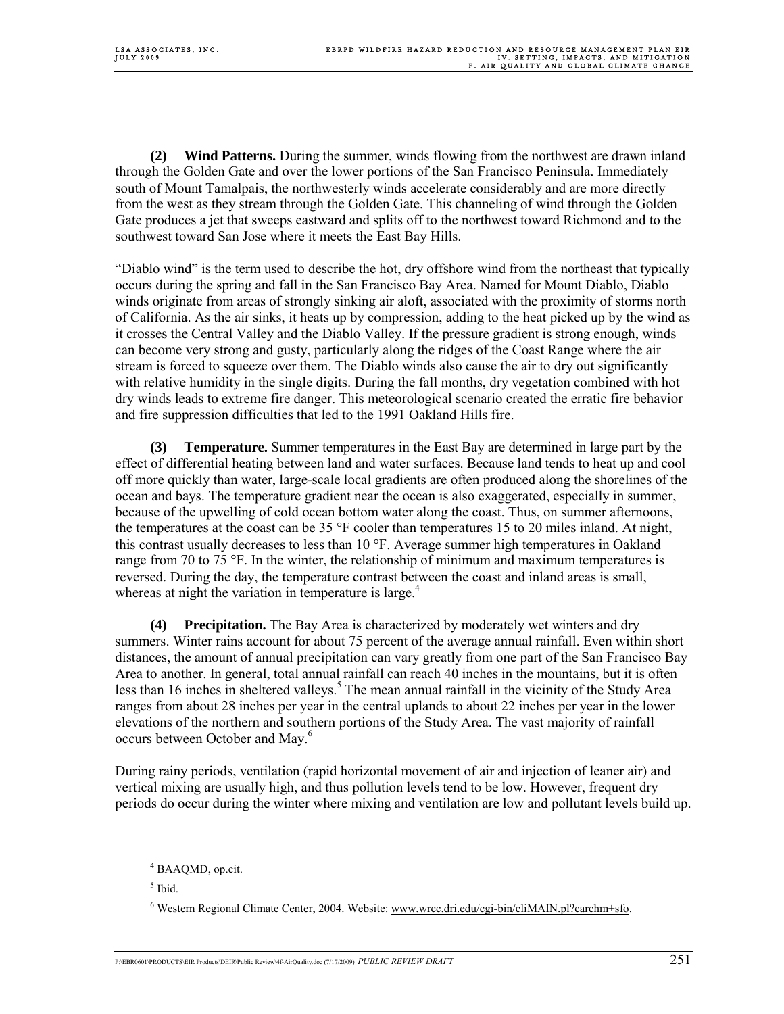**(2) Wind Patterns.** During the summer, winds flowing from the northwest are drawn inland through the Golden Gate and over the lower portions of the San Francisco Peninsula. Immediately south of Mount Tamalpais, the northwesterly winds accelerate considerably and are more directly from the west as they stream through the Golden Gate. This channeling of wind through the Golden Gate produces a jet that sweeps eastward and splits off to the northwest toward Richmond and to the southwest toward San Jose where it meets the East Bay Hills.

"Diablo wind" is the term used to describe the hot, dry offshore wind from the northeast that typically occurs during the spring and fall in the San Francisco Bay Area. Named for Mount Diablo, Diablo winds originate from areas of strongly sinking air aloft, associated with the proximity of storms north of California. As the air sinks, it heats up by compression, adding to the heat picked up by the wind as it crosses the Central Valley and the Diablo Valley. If the pressure gradient is strong enough, winds can become very strong and gusty, particularly along the ridges of the Coast Range where the air stream is forced to squeeze over them. The Diablo winds also cause the air to dry out significantly with relative humidity in the single digits. During the fall months, dry vegetation combined with hot dry winds leads to extreme fire danger. This meteorological scenario created the erratic fire behavior and fire suppression difficulties that led to the 1991 Oakland Hills fire.

**(3) Temperature.** Summer temperatures in the East Bay are determined in large part by the effect of differential heating between land and water surfaces. Because land tends to heat up and cool off more quickly than water, large-scale local gradients are often produced along the shorelines of the ocean and bays. The temperature gradient near the ocean is also exaggerated, especially in summer, because of the upwelling of cold ocean bottom water along the coast. Thus, on summer afternoons, the temperatures at the coast can be 35 °F cooler than temperatures 15 to 20 miles inland. At night, this contrast usually decreases to less than  $10^{\circ}$ F. Average summer high temperatures in Oakland range from 70 to 75 °F. In the winter, the relationship of minimum and maximum temperatures is reversed. During the day, the temperature contrast between the coast and inland areas is small, whereas at night the variation in temperature is large.<sup>4</sup>

**(4) Precipitation.** The Bay Area is characterized by moderately wet winters and dry summers. Winter rains account for about 75 percent of the average annual rainfall. Even within short distances, the amount of annual precipitation can vary greatly from one part of the San Francisco Bay Area to another. In general, total annual rainfall can reach 40 inches in the mountains, but it is often less than 16 inches in sheltered valleys.<sup>5</sup> The mean annual rainfall in the vicinity of the Study Area ranges from about 28 inches per year in the central uplands to about 22 inches per year in the lower elevations of the northern and southern portions of the Study Area. The vast majority of rainfall occurs between October and May.<sup>6</sup>

During rainy periods, ventilation (rapid horizontal movement of air and injection of leaner air) and vertical mixing are usually high, and thus pollution levels tend to be low. However, frequent dry periods do occur during the winter where mixing and ventilation are low and pollutant levels build up.

 $<sup>5</sup>$  Ibid.</sup>

 <sup>4</sup> <sup>4</sup> BAAQMD, op.cit.

<sup>&</sup>lt;sup>6</sup> Western Regional Climate Center, 2004. Website: www.wrcc.dri.edu/cgi-bin/cliMAIN.pl?carchm+sfo.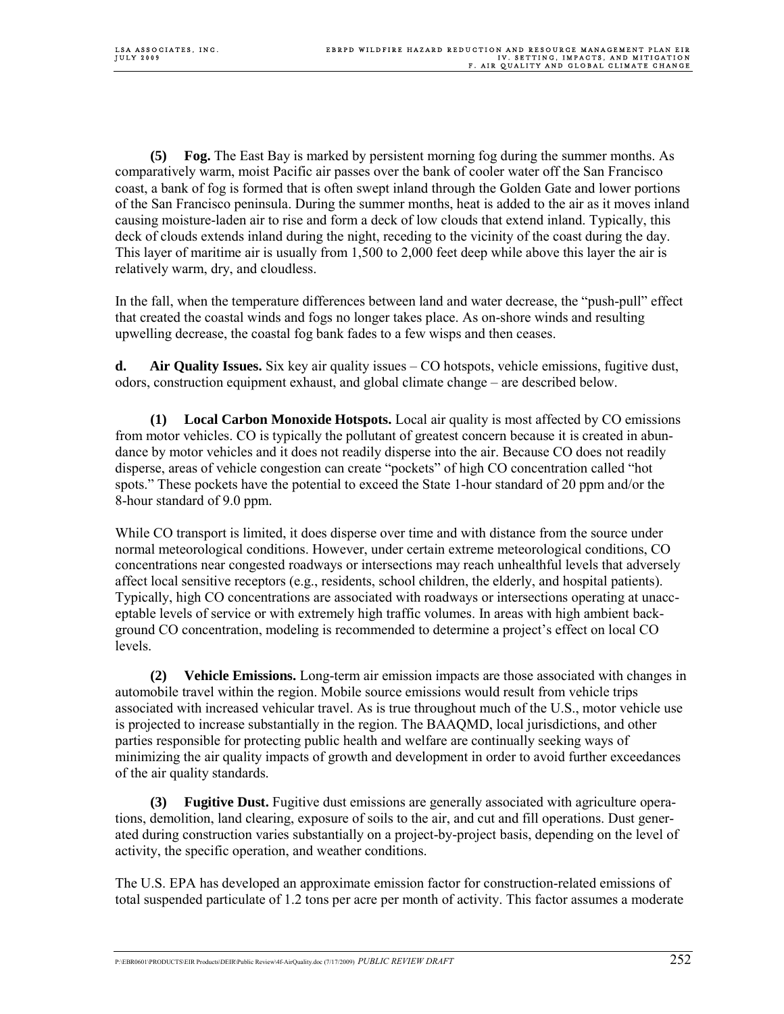**(5) Fog.** The East Bay is marked by persistent morning fog during the summer months. As comparatively warm, moist Pacific air passes over the bank of cooler water off the San Francisco coast, a bank of fog is formed that is often swept inland through the Golden Gate and lower portions of the San Francisco peninsula. During the summer months, heat is added to the air as it moves inland causing moisture-laden air to rise and form a deck of low clouds that extend inland. Typically, this deck of clouds extends inland during the night, receding to the vicinity of the coast during the day. This layer of maritime air is usually from 1,500 to 2,000 feet deep while above this layer the air is relatively warm, dry, and cloudless.

In the fall, when the temperature differences between land and water decrease, the "push-pull" effect that created the coastal winds and fogs no longer takes place. As on-shore winds and resulting upwelling decrease, the coastal fog bank fades to a few wisps and then ceases.

**d. Air Quality Issues.** Six key air quality issues – CO hotspots, vehicle emissions, fugitive dust, odors, construction equipment exhaust, and global climate change – are described below.

**(1) Local Carbon Monoxide Hotspots.** Local air quality is most affected by CO emissions from motor vehicles. CO is typically the pollutant of greatest concern because it is created in abundance by motor vehicles and it does not readily disperse into the air. Because CO does not readily disperse, areas of vehicle congestion can create "pockets" of high CO concentration called "hot spots." These pockets have the potential to exceed the State 1-hour standard of 20 ppm and/or the 8-hour standard of 9.0 ppm.

While CO transport is limited, it does disperse over time and with distance from the source under normal meteorological conditions. However, under certain extreme meteorological conditions, CO concentrations near congested roadways or intersections may reach unhealthful levels that adversely affect local sensitive receptors (e.g., residents, school children, the elderly, and hospital patients). Typically, high CO concentrations are associated with roadways or intersections operating at unacceptable levels of service or with extremely high traffic volumes. In areas with high ambient background CO concentration, modeling is recommended to determine a project's effect on local CO levels.

**(2) Vehicle Emissions.** Long-term air emission impacts are those associated with changes in automobile travel within the region. Mobile source emissions would result from vehicle trips associated with increased vehicular travel. As is true throughout much of the U.S., motor vehicle use is projected to increase substantially in the region. The BAAQMD, local jurisdictions, and other parties responsible for protecting public health and welfare are continually seeking ways of minimizing the air quality impacts of growth and development in order to avoid further exceedances of the air quality standards.

**(3) Fugitive Dust.** Fugitive dust emissions are generally associated with agriculture operations, demolition, land clearing, exposure of soils to the air, and cut and fill operations. Dust generated during construction varies substantially on a project-by-project basis, depending on the level of activity, the specific operation, and weather conditions.

The U.S. EPA has developed an approximate emission factor for construction-related emissions of total suspended particulate of 1.2 tons per acre per month of activity. This factor assumes a moderate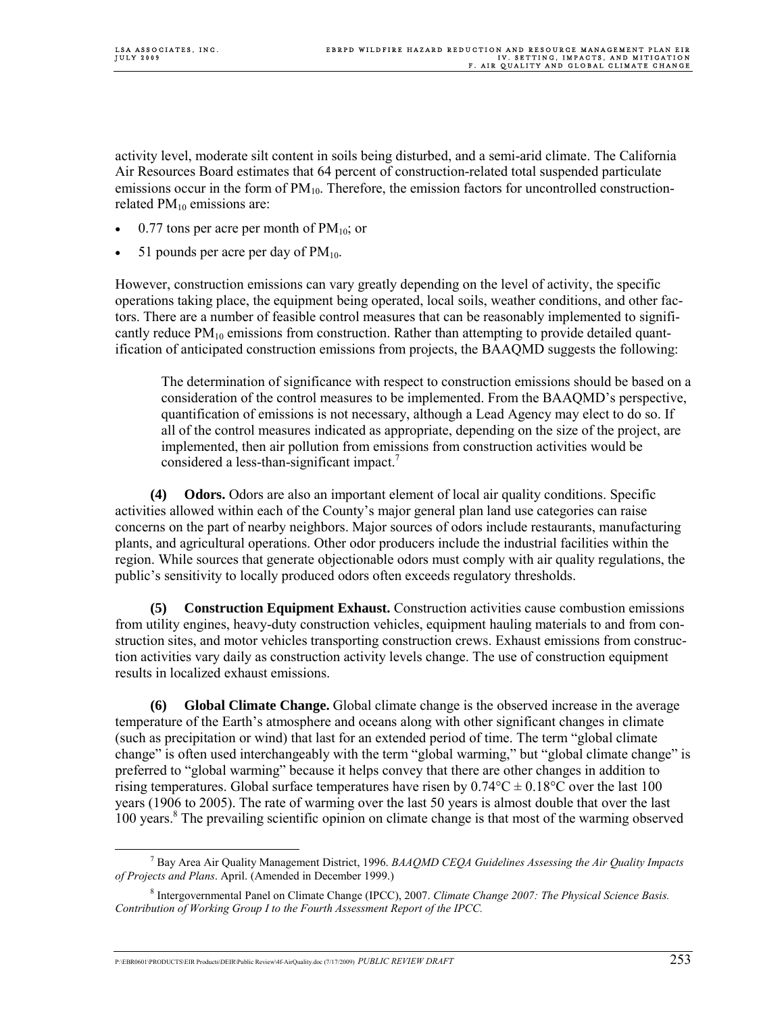activity level, moderate silt content in soils being disturbed, and a semi-arid climate. The California Air Resources Board estimates that 64 percent of construction-related total suspended particulate emissions occur in the form of  $PM_{10}$ . Therefore, the emission factors for uncontrolled constructionrelated  $PM_{10}$  emissions are:

- 0.77 tons per acre per month of  $PM_{10}$ ; or
- 51 pounds per acre per day of  $PM_{10}$ .

However, construction emissions can vary greatly depending on the level of activity, the specific operations taking place, the equipment being operated, local soils, weather conditions, and other factors. There are a number of feasible control measures that can be reasonably implemented to significantly reduce  $PM_{10}$  emissions from construction. Rather than attempting to provide detailed quantification of anticipated construction emissions from projects, the BAAQMD suggests the following:

 The determination of significance with respect to construction emissions should be based on a consideration of the control measures to be implemented. From the BAAQMD's perspective, quantification of emissions is not necessary, although a Lead Agency may elect to do so. If all of the control measures indicated as appropriate, depending on the size of the project, are implemented, then air pollution from emissions from construction activities would be considered a less-than-significant impact.<sup>7</sup>

**(4) Odors.** Odors are also an important element of local air quality conditions. Specific activities allowed within each of the County's major general plan land use categories can raise concerns on the part of nearby neighbors. Major sources of odors include restaurants, manufacturing plants, and agricultural operations. Other odor producers include the industrial facilities within the region. While sources that generate objectionable odors must comply with air quality regulations, the public's sensitivity to locally produced odors often exceeds regulatory thresholds.

**(5) Construction Equipment Exhaust.** Construction activities cause combustion emissions from utility engines, heavy-duty construction vehicles, equipment hauling materials to and from construction sites, and motor vehicles transporting construction crews. Exhaust emissions from construction activities vary daily as construction activity levels change. The use of construction equipment results in localized exhaust emissions.

**(6) Global Climate Change.** Global climate change is the observed increase in the average temperature of the Earth's atmosphere and oceans along with other significant changes in climate (such as precipitation or wind) that last for an extended period of time. The term "global climate change" is often used interchangeably with the term "global warming," but "global climate change" is preferred to "global warming" because it helps convey that there are other changes in addition to rising temperatures. Global surface temperatures have risen by  $0.74^{\circ}C \pm 0.18^{\circ}C$  over the last 100 years (1906 to 2005). The rate of warming over the last 50 years is almost double that over the last 100 years.<sup>8</sup> The prevailing scientific opinion on climate change is that most of the warming observed

 $\overline{7}$  Bay Area Air Quality Management District, 1996. *BAAQMD CEQA Guidelines Assessing the Air Quality Impacts of Projects and Plans*. April. (Amended in December 1999.)

<sup>8</sup> Intergovernmental Panel on Climate Change (IPCC), 2007. *Climate Change 2007: The Physical Science Basis. Contribution of Working Group I to the Fourth Assessment Report of the IPCC.*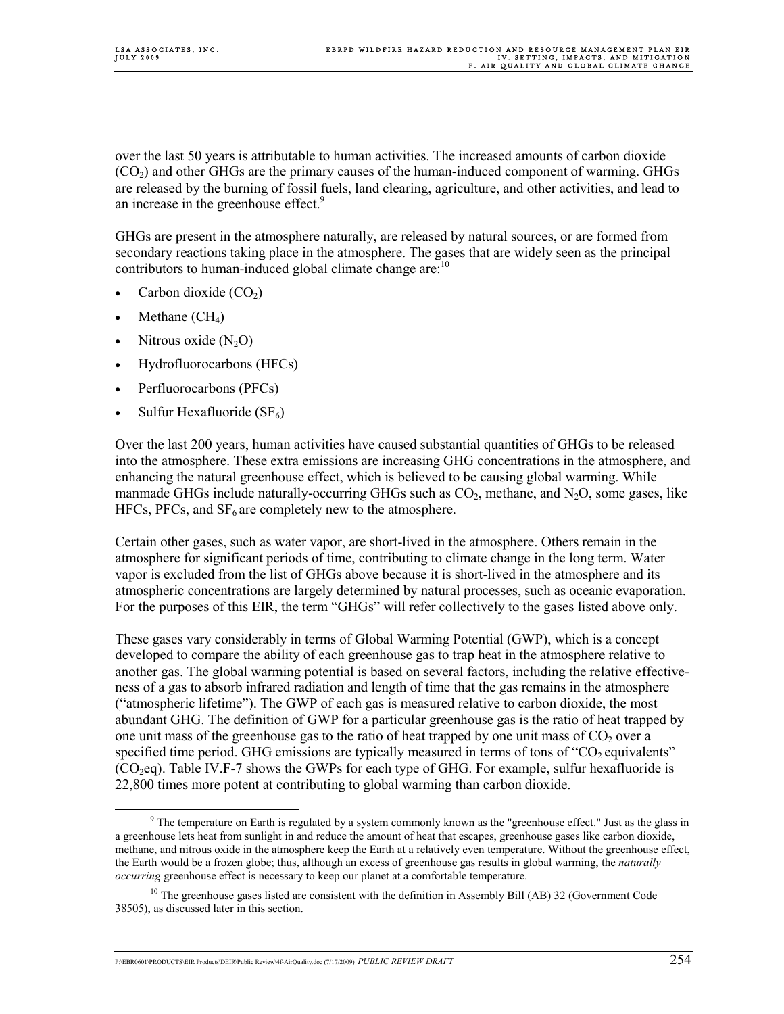over the last 50 years is attributable to human activities. The increased amounts of carbon dioxide  $(CO<sub>2</sub>)$  and other GHGs are the primary causes of the human-induced component of warming. GHGs are released by the burning of fossil fuels, land clearing, agriculture, and other activities, and lead to an increase in the greenhouse effect.<sup>9</sup>

GHGs are present in the atmosphere naturally, are released by natural sources, or are formed from secondary reactions taking place in the atmosphere. The gases that are widely seen as the principal contributors to human-induced global climate change are:<sup>10</sup>

- Carbon dioxide  $(CO<sub>2</sub>)$
- Methane  $\rm (CH_4)$
- Nitrous oxide  $(N_2O)$
- Hydrofluorocarbons (HFCs)
- Perfluorocarbons (PFCs)
- Sulfur Hexafluoride  $(SF_6)$

Over the last 200 years, human activities have caused substantial quantities of GHGs to be released into the atmosphere. These extra emissions are increasing GHG concentrations in the atmosphere, and enhancing the natural greenhouse effect, which is believed to be causing global warming. While manmade GHGs include naturally-occurring GHGs such as  $CO<sub>2</sub>$ , methane, and N<sub>2</sub>O, some gases, like HFCs, PFCs, and  $SF<sub>6</sub>$  are completely new to the atmosphere.

Certain other gases, such as water vapor, are short-lived in the atmosphere. Others remain in the atmosphere for significant periods of time, contributing to climate change in the long term. Water vapor is excluded from the list of GHGs above because it is short-lived in the atmosphere and its atmospheric concentrations are largely determined by natural processes, such as oceanic evaporation. For the purposes of this EIR, the term "GHGs" will refer collectively to the gases listed above only.

These gases vary considerably in terms of Global Warming Potential (GWP), which is a concept developed to compare the ability of each greenhouse gas to trap heat in the atmosphere relative to another gas. The global warming potential is based on several factors, including the relative effectiveness of a gas to absorb infrared radiation and length of time that the gas remains in the atmosphere ("atmospheric lifetime"). The GWP of each gas is measured relative to carbon dioxide, the most abundant GHG. The definition of GWP for a particular greenhouse gas is the ratio of heat trapped by one unit mass of the greenhouse gas to the ratio of heat trapped by one unit mass of  $CO<sub>2</sub>$  over a specified time period. GHG emissions are typically measured in terms of tons of "CO<sub>2</sub> equivalents"  $(CO<sub>2</sub>eq)$ . Table IV.F-7 shows the GWPs for each type of GHG. For example, sulfur hexafluoride is 22,800 times more potent at contributing to global warming than carbon dioxide.

 $\frac{9}{9}$  $9$  The temperature on Earth is regulated by a system commonly known as the "greenhouse effect." Just as the glass in a greenhouse lets heat from sunlight in and reduce the amount of heat that escapes, greenhouse gases like carbon dioxide, methane, and nitrous oxide in the atmosphere keep the Earth at a relatively even temperature. Without the greenhouse effect, the Earth would be a frozen globe; thus, although an excess of greenhouse gas results in global warming, the *naturally occurring* greenhouse effect is necessary to keep our planet at a comfortable temperature.

<sup>&</sup>lt;sup>10</sup> The greenhouse gases listed are consistent with the definition in Assembly Bill (AB) 32 (Government Code 38505), as discussed later in this section.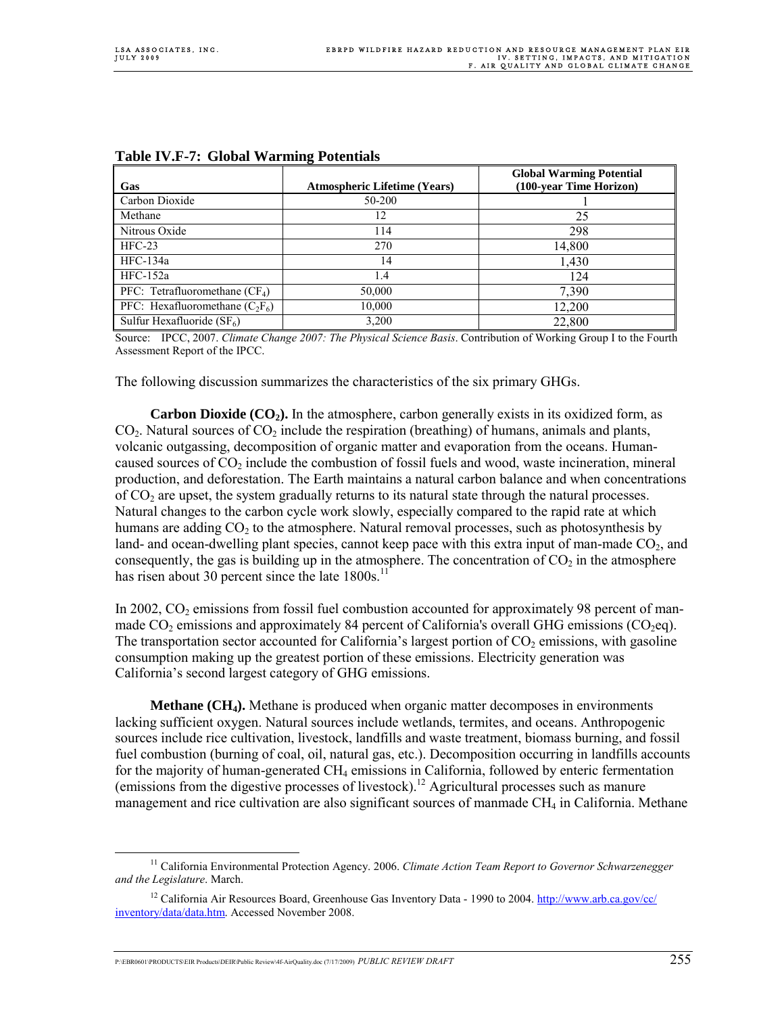| Gas                               | <b>Atmospheric Lifetime (Years)</b> | <b>Global Warming Potential</b><br>(100-year Time Horizon) |
|-----------------------------------|-------------------------------------|------------------------------------------------------------|
| Carbon Dioxide                    | 50-200                              |                                                            |
| Methane                           | 12                                  | 25                                                         |
| Nitrous Oxide                     | 114                                 | 298                                                        |
| $HEC-23$                          | 270                                 | 14,800                                                     |
| HFC-134a                          | 14                                  | 1,430                                                      |
| $HFC-152a$                        | 1.4                                 | 124                                                        |
| PFC: Tetrafluoromethane $(CF_4)$  | 50,000                              | 7,390                                                      |
| PFC: Hexafluoromethane $(C_2F_6)$ | 10,000                              | 12,200                                                     |
| Sulfur Hexafluoride $(SF_6)$      | 3,200                               | 22.800                                                     |

#### **Table IV.F-7: Global Warming Potentials**

Source: IPCC, 2007. *Climate Change 2007: The Physical Science Basis*. Contribution of Working Group I to the Fourth Assessment Report of the IPCC.

The following discussion summarizes the characteristics of the six primary GHGs.

**Carbon Dioxide (CO<sub>2</sub>).** In the atmosphere, carbon generally exists in its oxidized form, as  $CO<sub>2</sub>$ . Natural sources of  $CO<sub>2</sub>$  include the respiration (breathing) of humans, animals and plants, volcanic outgassing, decomposition of organic matter and evaporation from the oceans. Humancaused sources of  $CO<sub>2</sub>$  include the combustion of fossil fuels and wood, waste incineration, mineral production, and deforestation. The Earth maintains a natural carbon balance and when concentrations of  $CO<sub>2</sub>$  are upset, the system gradually returns to its natural state through the natural processes. Natural changes to the carbon cycle work slowly, especially compared to the rapid rate at which humans are adding  $CO<sub>2</sub>$  to the atmosphere. Natural removal processes, such as photosynthesis by land- and ocean-dwelling plant species, cannot keep pace with this extra input of man-made  $CO<sub>2</sub>$ , and consequently, the gas is building up in the atmosphere. The concentration of  $CO<sub>2</sub>$  in the atmosphere has risen about 30 percent since the late  $1800s$ <sup>1</sup>

In 2002,  $CO<sub>2</sub>$  emissions from fossil fuel combustion accounted for approximately 98 percent of manmade  $CO<sub>2</sub>$  emissions and approximately 84 percent of California's overall GHG emissions ( $CO<sub>2</sub>$ eq). The transportation sector accounted for California's largest portion of  $CO<sub>2</sub>$  emissions, with gasoline consumption making up the greatest portion of these emissions. Electricity generation was California's second largest category of GHG emissions.

**Methane (CH<sub>4</sub>).** Methane is produced when organic matter decomposes in environments lacking sufficient oxygen. Natural sources include wetlands, termites, and oceans. Anthropogenic sources include rice cultivation, livestock, landfills and waste treatment, biomass burning, and fossil fuel combustion (burning of coal, oil, natural gas, etc.). Decomposition occurring in landfills accounts for the majority of human-generated  $CH_4$  emissions in California, followed by enteric fermentation (emissions from the digestive processes of livestock).<sup>12</sup> Agricultural processes such as manure management and rice cultivation are also significant sources of manmade CH<sub>4</sub> in California. Methane

 <sup>11</sup> California Environmental Protection Agency. 2006. *Climate Action Team Report to Governor Schwarzenegger and the Legislature*. March.

<sup>&</sup>lt;sup>12</sup> California Air Resources Board, Greenhouse Gas Inventory Data - 1990 to 2004. http://www.arb.ca.gov/cc/ inventory/data/data.htm. Accessed November 2008.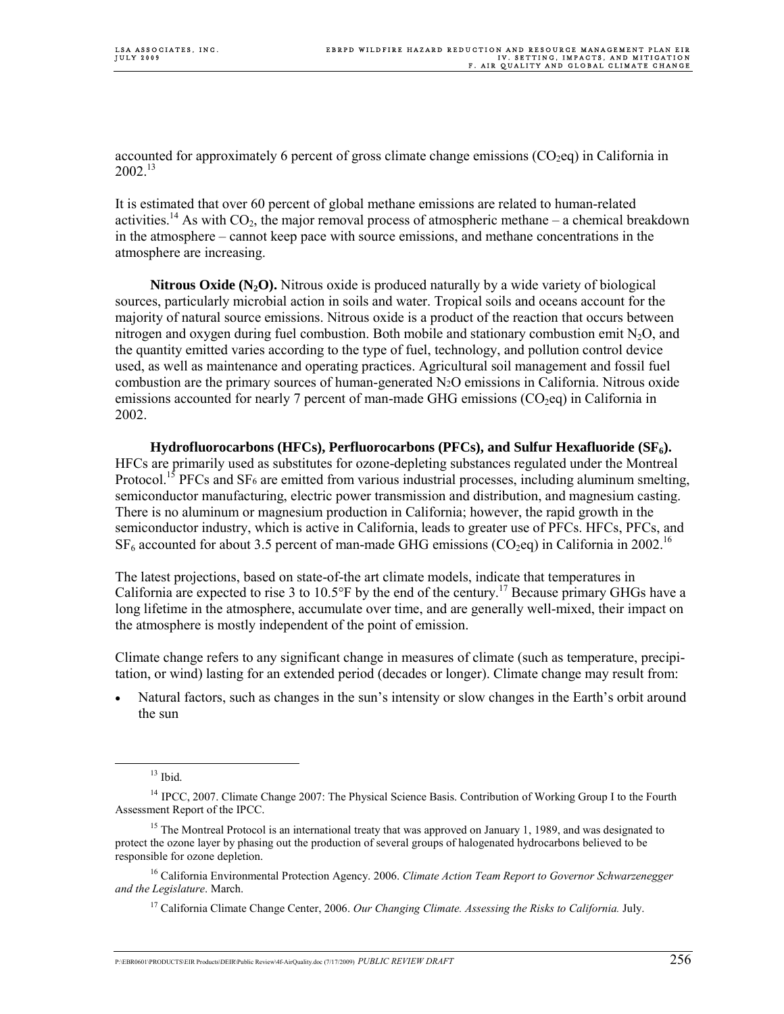accounted for approximately 6 percent of gross climate change emissions  $(CO_2)$  in California in  $2002^{13}$ 

It is estimated that over 60 percent of global methane emissions are related to human-related activities.<sup>14</sup> As with CO<sub>2</sub>, the major removal process of atmospheric methane – a chemical breakdown in the atmosphere – cannot keep pace with source emissions, and methane concentrations in the atmosphere are increasing.

**Nitrous Oxide (N<sub>2</sub>O).** Nitrous oxide is produced naturally by a wide variety of biological sources, particularly microbial action in soils and water. Tropical soils and oceans account for the majority of natural source emissions. Nitrous oxide is a product of the reaction that occurs between nitrogen and oxygen during fuel combustion. Both mobile and stationary combustion emit  $N<sub>2</sub>O$ , and the quantity emitted varies according to the type of fuel, technology, and pollution control device used, as well as maintenance and operating practices. Agricultural soil management and fossil fuel combustion are the primary sources of human-generated N2O emissions in California. Nitrous oxide emissions accounted for nearly 7 percent of man-made GHG emissions (CO<sub>2</sub>eq) in California in 2002.

 **Hydrofluorocarbons (HFCs), Perfluorocarbons (PFCs), and Sulfur Hexafluoride (SF<sub>6</sub>).** HFCs are primarily used as substitutes for ozone-depleting substances regulated under the Montreal Protocol.<sup>15</sup> PFCs and SF<sub>6</sub> are emitted from various industrial processes, including aluminum smelting, semiconductor manufacturing, electric power transmission and distribution, and magnesium casting. There is no aluminum or magnesium production in California; however, the rapid growth in the semiconductor industry, which is active in California, leads to greater use of PFCs. HFCs, PFCs, and  $SF<sub>6</sub>$  accounted for about 3.5 percent of man-made GHG emissions (CO<sub>2</sub>eq) in California in 2002.<sup>16</sup>

The latest projections, based on state-of-the art climate models, indicate that temperatures in California are expected to rise 3 to 10.5°F by the end of the century.17 Because primary GHGs have a long lifetime in the atmosphere, accumulate over time, and are generally well-mixed, their impact on the atmosphere is mostly independent of the point of emission.

Climate change refers to any significant change in measures of climate (such as temperature, precipitation, or wind) lasting for an extended period (decades or longer). Climate change may result from:

• Natural factors, such as changes in the sun's intensity or slow changes in the Earth's orbit around the sun

 $13$  Ibid.

<sup>14</sup> IPCC, 2007. Climate Change 2007: The Physical Science Basis. Contribution of Working Group I to the Fourth Assessment Report of the IPCC.

<sup>&</sup>lt;sup>15</sup> The Montreal Protocol is an international treaty that was approved on January 1, 1989, and was designated to protect the ozone layer by phasing out the production of several groups of halogenated hydrocarbons believed to be responsible for ozone depletion.

<sup>16</sup> California Environmental Protection Agency. 2006. *Climate Action Team Report to Governor Schwarzenegger and the Legislature*. March.

<sup>17</sup> California Climate Change Center, 2006. *Our Changing Climate. Assessing the Risks to California.* July.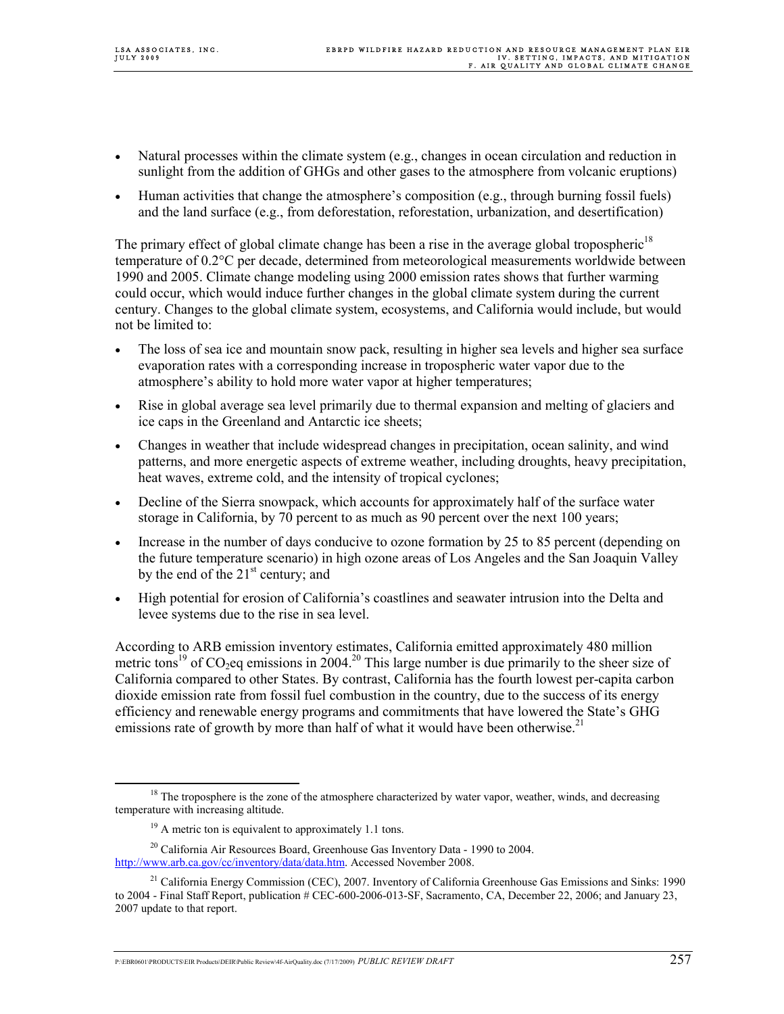- Natural processes within the climate system (e.g., changes in ocean circulation and reduction in sunlight from the addition of GHGs and other gases to the atmosphere from volcanic eruptions)
- Human activities that change the atmosphere's composition (e.g., through burning fossil fuels) and the land surface (e.g., from deforestation, reforestation, urbanization, and desertification)

The primary effect of global climate change has been a rise in the average global tropospheric<sup>18</sup> temperature of 0.2°C per decade, determined from meteorological measurements worldwide between 1990 and 2005. Climate change modeling using 2000 emission rates shows that further warming could occur, which would induce further changes in the global climate system during the current century. Changes to the global climate system, ecosystems, and California would include, but would not be limited to:

- The loss of sea ice and mountain snow pack, resulting in higher sea levels and higher sea surface evaporation rates with a corresponding increase in tropospheric water vapor due to the atmosphere's ability to hold more water vapor at higher temperatures;
- Rise in global average sea level primarily due to thermal expansion and melting of glaciers and ice caps in the Greenland and Antarctic ice sheets;
- Changes in weather that include widespread changes in precipitation, ocean salinity, and wind patterns, and more energetic aspects of extreme weather, including droughts, heavy precipitation, heat waves, extreme cold, and the intensity of tropical cyclones;
- Decline of the Sierra snowpack, which accounts for approximately half of the surface water storage in California, by 70 percent to as much as 90 percent over the next 100 years;
- Increase in the number of days conducive to ozone formation by 25 to 85 percent (depending on the future temperature scenario) in high ozone areas of Los Angeles and the San Joaquin Valley by the end of the  $21<sup>st</sup>$  century; and
- High potential for erosion of California's coastlines and seawater intrusion into the Delta and levee systems due to the rise in sea level.

According to ARB emission inventory estimates, California emitted approximately 480 million metric tons<sup>19</sup> of CO<sub>2</sub>eq emissions in 2004.<sup>20</sup> This large number is due primarily to the sheer size of California compared to other States. By contrast, California has the fourth lowest per-capita carbon dioxide emission rate from fossil fuel combustion in the country, due to the success of its energy efficiency and renewable energy programs and commitments that have lowered the State's GHG emissions rate of growth by more than half of what it would have been otherwise.<sup>21</sup>

<sup>&</sup>lt;sup>18</sup> The troposphere is the zone of the atmosphere characterized by water vapor, weather, winds, and decreasing temperature with increasing altitude.

 $19$  A metric ton is equivalent to approximately 1.1 tons.

 $^{20}$  California Air Resources Board, Greenhouse Gas Inventory Data - 1990 to 2004. http://www.arb.ca.gov/cc/inventory/data/data.htm. Accessed November 2008.

<sup>&</sup>lt;sup>21</sup> California Energy Commission (CEC), 2007. Inventory of California Greenhouse Gas Emissions and Sinks: 1990 to 2004 - Final Staff Report, publication # CEC-600-2006-013-SF, Sacramento, CA, December 22, 2006; and January 23, 2007 update to that report.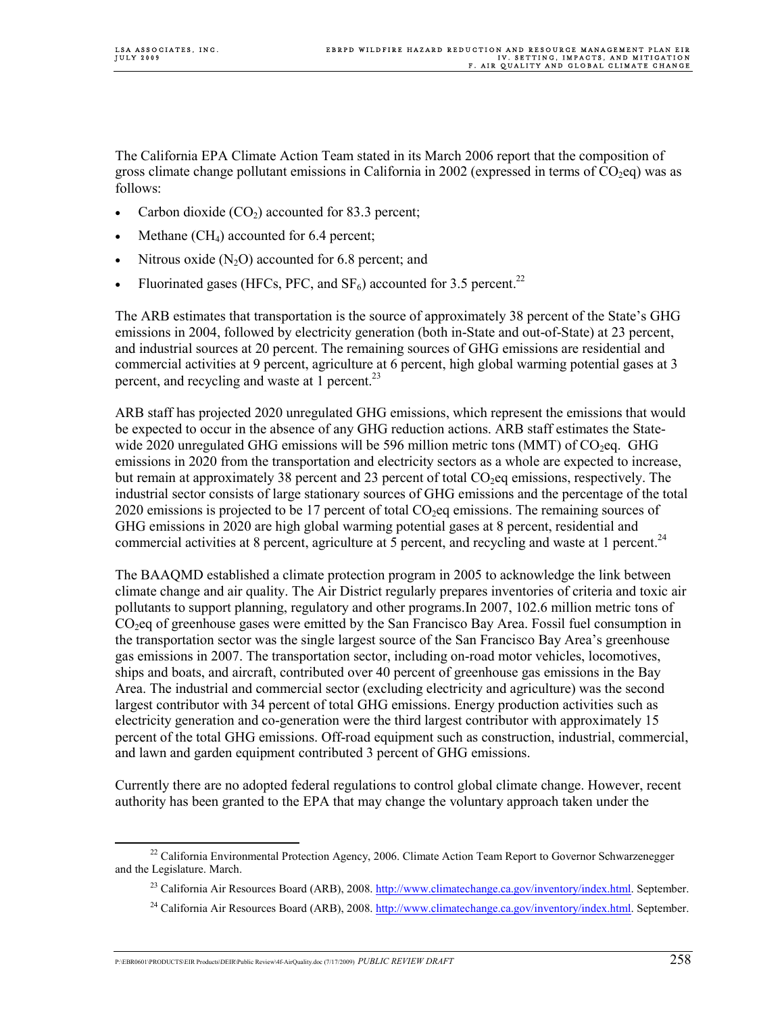The California EPA Climate Action Team stated in its March 2006 report that the composition of gross climate change pollutant emissions in California in 2002 (expressed in terms of  $CO<sub>2</sub>$ eq) was as follows:

- Carbon dioxide  $(CO_2)$  accounted for 83.3 percent;
- Methane  $(CH<sub>4</sub>)$  accounted for 6.4 percent;
- Nitrous oxide  $(N<sub>2</sub>O)$  accounted for 6.8 percent; and
- Fluorinated gases (HFCs, PFC, and  $SF_6$ ) accounted for 3.5 percent.<sup>22</sup>

The ARB estimates that transportation is the source of approximately 38 percent of the State's GHG emissions in 2004, followed by electricity generation (both in-State and out-of-State) at 23 percent, and industrial sources at 20 percent. The remaining sources of GHG emissions are residential and commercial activities at 9 percent, agriculture at 6 percent, high global warming potential gases at 3 percent, and recycling and waste at  $1$  percent.<sup>23</sup>

ARB staff has projected 2020 unregulated GHG emissions, which represent the emissions that would be expected to occur in the absence of any GHG reduction actions. ARB staff estimates the Statewide 2020 unregulated GHG emissions will be 596 million metric tons (MMT) of  $CO<sub>2</sub>$ eq. GHG emissions in 2020 from the transportation and electricity sectors as a whole are expected to increase, but remain at approximately 38 percent and 23 percent of total  $CO<sub>2</sub>$ eq emissions, respectively. The industrial sector consists of large stationary sources of GHG emissions and the percentage of the total 2020 emissions is projected to be 17 percent of total  $CO<sub>2</sub>$ eq emissions. The remaining sources of GHG emissions in 2020 are high global warming potential gases at 8 percent, residential and commercial activities at 8 percent, agriculture at 5 percent, and recycling and waste at 1 percent.<sup>24</sup>

The BAAQMD established a climate protection program in 2005 to acknowledge the link between climate change and air quality. The Air District regularly prepares inventories of criteria and toxic air pollutants to support planning, regulatory and other programs.In 2007, 102.6 million metric tons of CO<sub>2</sub>eq of greenhouse gases were emitted by the San Francisco Bay Area. Fossil fuel consumption in the transportation sector was the single largest source of the San Francisco Bay Area's greenhouse gas emissions in 2007. The transportation sector, including on-road motor vehicles, locomotives, ships and boats, and aircraft, contributed over 40 percent of greenhouse gas emissions in the Bay Area. The industrial and commercial sector (excluding electricity and agriculture) was the second largest contributor with 34 percent of total GHG emissions. Energy production activities such as electricity generation and co-generation were the third largest contributor with approximately 15 percent of the total GHG emissions. Off-road equipment such as construction, industrial, commercial, and lawn and garden equipment contributed 3 percent of GHG emissions.

Currently there are no adopted federal regulations to control global climate change. However, recent authority has been granted to the EPA that may change the voluntary approach taken under the

<sup>&</sup>lt;sup>22</sup> California Environmental Protection Agency, 2006. Climate Action Team Report to Governor Schwarzenegger and the Legislature. March.

<sup>&</sup>lt;sup>23</sup> California Air Resources Board (ARB), 2008. http://www.climatechange.ca.gov/inventory/index.html. September.

<sup>&</sup>lt;sup>24</sup> California Air Resources Board (ARB), 2008. http://www.climatechange.ca.gov/inventory/index.html. September.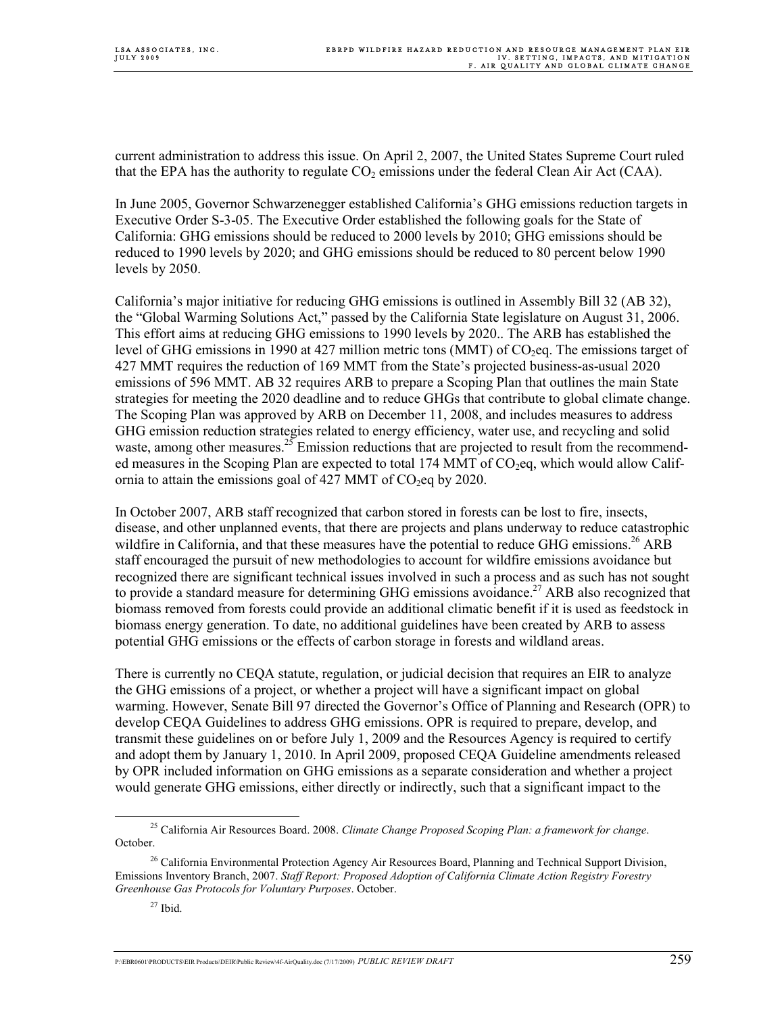current administration to address this issue. On April 2, 2007, the United States Supreme Court ruled that the EPA has the authority to regulate  $CO<sub>2</sub>$  emissions under the federal Clean Air Act (CAA).

In June 2005, Governor Schwarzenegger established California's GHG emissions reduction targets in Executive Order S-3-05. The Executive Order established the following goals for the State of California: GHG emissions should be reduced to 2000 levels by 2010; GHG emissions should be reduced to 1990 levels by 2020; and GHG emissions should be reduced to 80 percent below 1990 levels by 2050.

California's major initiative for reducing GHG emissions is outlined in Assembly Bill 32 (AB 32), the "Global Warming Solutions Act," passed by the California State legislature on August 31, 2006. This effort aims at reducing GHG emissions to 1990 levels by 2020.. The ARB has established the level of GHG emissions in 1990 at 427 million metric tons (MMT) of  $CO<sub>2</sub>$ eq. The emissions target of 427 MMT requires the reduction of 169 MMT from the State's projected business-as-usual 2020 emissions of 596 MMT. AB 32 requires ARB to prepare a Scoping Plan that outlines the main State strategies for meeting the 2020 deadline and to reduce GHGs that contribute to global climate change. The Scoping Plan was approved by ARB on December 11, 2008, and includes measures to address GHG emission reduction strategies related to energy efficiency, water use, and recycling and solid waste, among other measures.<sup>25</sup> Emission reductions that are projected to result from the recommended measures in the Scoping Plan are expected to total 174 MMT of  $CO<sub>2</sub>$ eq, which would allow California to attain the emissions goal of 427 MMT of  $CO<sub>2</sub>$ eq by 2020.

In October 2007, ARB staff recognized that carbon stored in forests can be lost to fire, insects, disease, and other unplanned events, that there are projects and plans underway to reduce catastrophic wildfire in California, and that these measures have the potential to reduce GHG emissions.<sup>26</sup> ARB staff encouraged the pursuit of new methodologies to account for wildfire emissions avoidance but recognized there are significant technical issues involved in such a process and as such has not sought to provide a standard measure for determining GHG emissions avoidance.<sup>27</sup> ARB also recognized that biomass removed from forests could provide an additional climatic benefit if it is used as feedstock in biomass energy generation. To date, no additional guidelines have been created by ARB to assess potential GHG emissions or the effects of carbon storage in forests and wildland areas.

There is currently no CEQA statute, regulation, or judicial decision that requires an EIR to analyze the GHG emissions of a project, or whether a project will have a significant impact on global warming. However, Senate Bill 97 directed the Governor's Office of Planning and Research (OPR) to develop CEQA Guidelines to address GHG emissions. OPR is required to prepare, develop, and transmit these guidelines on or before July 1, 2009 and the Resources Agency is required to certify and adopt them by January 1, 2010. In April 2009, proposed CEQA Guideline amendments released by OPR included information on GHG emissions as a separate consideration and whether a project would generate GHG emissions, either directly or indirectly, such that a significant impact to the

 <sup>25</sup> California Air Resources Board. 2008. *Climate Change Proposed Scoping Plan: a framework for change*. October.

<sup>&</sup>lt;sup>26</sup> California Environmental Protection Agency Air Resources Board, Planning and Technical Support Division, Emissions Inventory Branch, 2007. *Staff Report: Proposed Adoption of California Climate Action Registry Forestry Greenhouse Gas Protocols for Voluntary Purposes*. October.

 $27$  Ibid.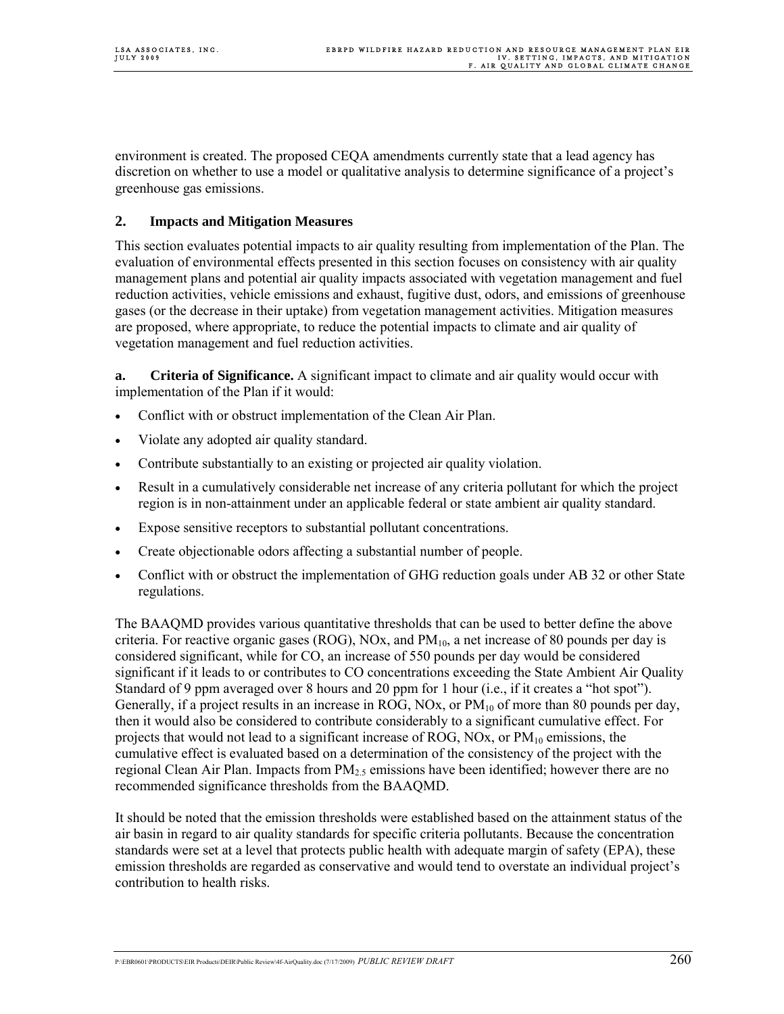environment is created. The proposed CEQA amendments currently state that a lead agency has discretion on whether to use a model or qualitative analysis to determine significance of a project's greenhouse gas emissions.

# **2. Impacts and Mitigation Measures**

This section evaluates potential impacts to air quality resulting from implementation of the Plan. The evaluation of environmental effects presented in this section focuses on consistency with air quality management plans and potential air quality impacts associated with vegetation management and fuel reduction activities, vehicle emissions and exhaust, fugitive dust, odors, and emissions of greenhouse gases (or the decrease in their uptake) from vegetation management activities. Mitigation measures are proposed, where appropriate, to reduce the potential impacts to climate and air quality of vegetation management and fuel reduction activities.

**a. Criteria of Significance.** A significant impact to climate and air quality would occur with implementation of the Plan if it would:

- Conflict with or obstruct implementation of the Clean Air Plan.
- Violate any adopted air quality standard.
- Contribute substantially to an existing or projected air quality violation.
- Result in a cumulatively considerable net increase of any criteria pollutant for which the project region is in non-attainment under an applicable federal or state ambient air quality standard.
- Expose sensitive receptors to substantial pollutant concentrations.
- Create objectionable odors affecting a substantial number of people.
- Conflict with or obstruct the implementation of GHG reduction goals under AB 32 or other State regulations.

The BAAQMD provides various quantitative thresholds that can be used to better define the above criteria. For reactive organic gases (ROG), NOx, and  $PM_{10}$ , a net increase of 80 pounds per day is considered significant, while for CO, an increase of 550 pounds per day would be considered significant if it leads to or contributes to CO concentrations exceeding the State Ambient Air Quality Standard of 9 ppm averaged over 8 hours and 20 ppm for 1 hour (i.e., if it creates a "hot spot"). Generally, if a project results in an increase in ROG, NOx, or  $PM_{10}$  of more than 80 pounds per day, then it would also be considered to contribute considerably to a significant cumulative effect. For projects that would not lead to a significant increase of ROG, NOx, or  $PM_{10}$  emissions, the cumulative effect is evaluated based on a determination of the consistency of the project with the regional Clean Air Plan. Impacts from  $PM<sub>25</sub>$  emissions have been identified; however there are no recommended significance thresholds from the BAAQMD.

It should be noted that the emission thresholds were established based on the attainment status of the air basin in regard to air quality standards for specific criteria pollutants. Because the concentration standards were set at a level that protects public health with adequate margin of safety (EPA), these emission thresholds are regarded as conservative and would tend to overstate an individual project's contribution to health risks.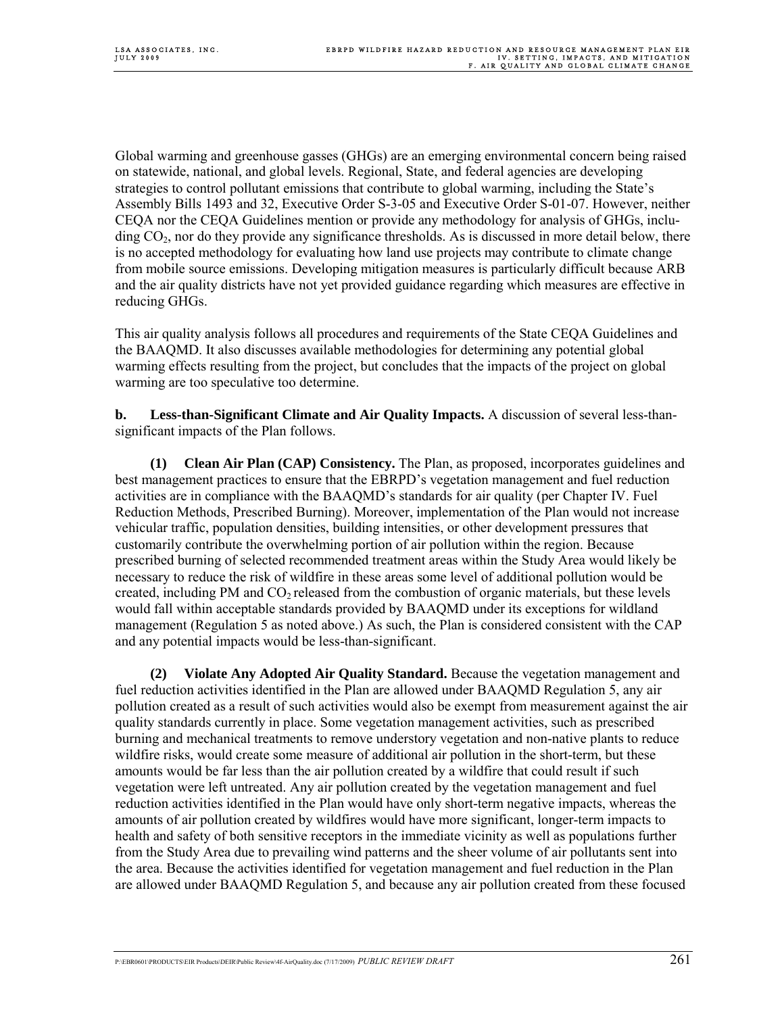Global warming and greenhouse gasses (GHGs) are an emerging environmental concern being raised on statewide, national, and global levels. Regional, State, and federal agencies are developing strategies to control pollutant emissions that contribute to global warming, including the State's Assembly Bills 1493 and 32, Executive Order S-3-05 and Executive Order S-01-07. However, neither CEQA nor the CEQA Guidelines mention or provide any methodology for analysis of GHGs, inclu- $\text{diag CO}_2$ , nor do they provide any significance thresholds. As is discussed in more detail below, there is no accepted methodology for evaluating how land use projects may contribute to climate change from mobile source emissions. Developing mitigation measures is particularly difficult because ARB and the air quality districts have not yet provided guidance regarding which measures are effective in reducing GHGs.

This air quality analysis follows all procedures and requirements of the State CEQA Guidelines and the BAAQMD. It also discusses available methodologies for determining any potential global warming effects resulting from the project, but concludes that the impacts of the project on global warming are too speculative too determine.

**b. Less-than-Significant Climate and Air Quality Impacts.** A discussion of several less-thansignificant impacts of the Plan follows.

**(1) Clean Air Plan (CAP) Consistency.** The Plan, as proposed, incorporates guidelines and best management practices to ensure that the EBRPD's vegetation management and fuel reduction activities are in compliance with the BAAQMD's standards for air quality (per Chapter IV. Fuel Reduction Methods, Prescribed Burning). Moreover, implementation of the Plan would not increase vehicular traffic, population densities, building intensities, or other development pressures that customarily contribute the overwhelming portion of air pollution within the region. Because prescribed burning of selected recommended treatment areas within the Study Area would likely be necessary to reduce the risk of wildfire in these areas some level of additional pollution would be created, including PM and  $CO<sub>2</sub>$  released from the combustion of organic materials, but these levels would fall within acceptable standards provided by BAAQMD under its exceptions for wildland management (Regulation 5 as noted above.) As such, the Plan is considered consistent with the CAP and any potential impacts would be less-than-significant.

**(2) Violate Any Adopted Air Quality Standard.** Because the vegetation management and fuel reduction activities identified in the Plan are allowed under BAAQMD Regulation 5, any air pollution created as a result of such activities would also be exempt from measurement against the air quality standards currently in place. Some vegetation management activities, such as prescribed burning and mechanical treatments to remove understory vegetation and non-native plants to reduce wildfire risks, would create some measure of additional air pollution in the short-term, but these amounts would be far less than the air pollution created by a wildfire that could result if such vegetation were left untreated. Any air pollution created by the vegetation management and fuel reduction activities identified in the Plan would have only short-term negative impacts, whereas the amounts of air pollution created by wildfires would have more significant, longer-term impacts to health and safety of both sensitive receptors in the immediate vicinity as well as populations further from the Study Area due to prevailing wind patterns and the sheer volume of air pollutants sent into the area. Because the activities identified for vegetation management and fuel reduction in the Plan are allowed under BAAQMD Regulation 5, and because any air pollution created from these focused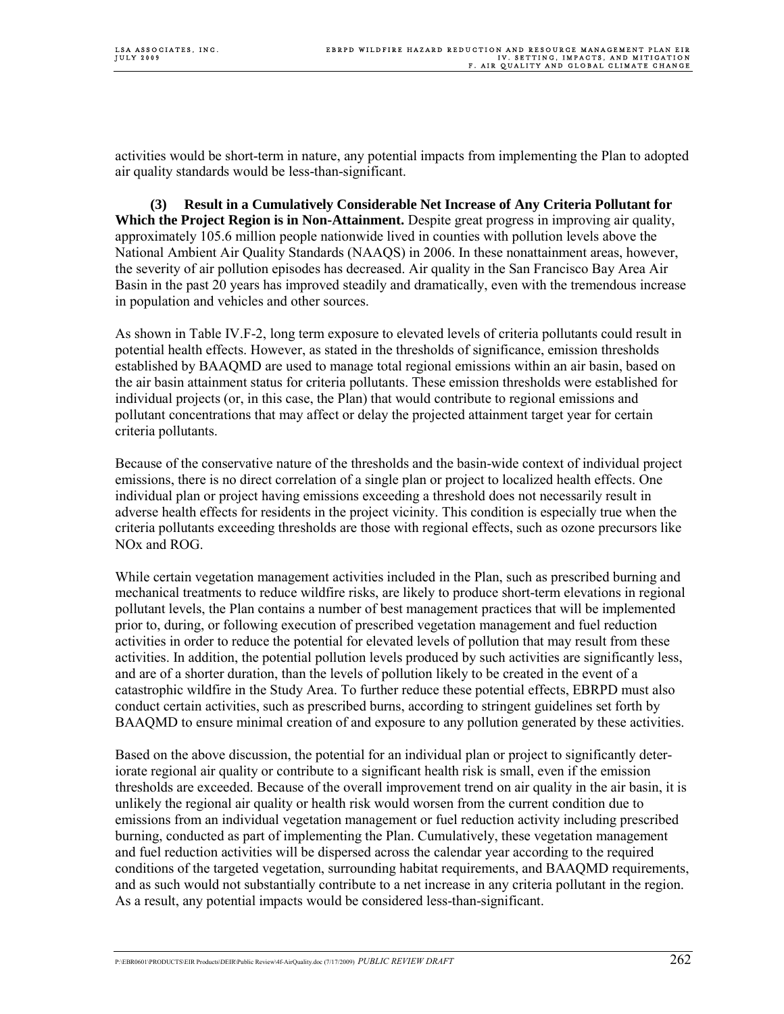activities would be short-term in nature, any potential impacts from implementing the Plan to adopted air quality standards would be less-than-significant.

**(3) Result in a Cumulatively Considerable Net Increase of Any Criteria Pollutant for Which the Project Region is in Non-Attainment.** Despite great progress in improving air quality, approximately 105.6 million people nationwide lived in counties with pollution levels above the National Ambient Air Quality Standards (NAAQS) in 2006. In these nonattainment areas, however, the severity of air pollution episodes has decreased. Air quality in the San Francisco Bay Area Air Basin in the past 20 years has improved steadily and dramatically, even with the tremendous increase in population and vehicles and other sources.

As shown in Table IV.F-2, long term exposure to elevated levels of criteria pollutants could result in potential health effects. However, as stated in the thresholds of significance, emission thresholds established by BAAQMD are used to manage total regional emissions within an air basin, based on the air basin attainment status for criteria pollutants. These emission thresholds were established for individual projects (or, in this case, the Plan) that would contribute to regional emissions and pollutant concentrations that may affect or delay the projected attainment target year for certain criteria pollutants.

Because of the conservative nature of the thresholds and the basin-wide context of individual project emissions, there is no direct correlation of a single plan or project to localized health effects. One individual plan or project having emissions exceeding a threshold does not necessarily result in adverse health effects for residents in the project vicinity. This condition is especially true when the criteria pollutants exceeding thresholds are those with regional effects, such as ozone precursors like NOx and ROG.

While certain vegetation management activities included in the Plan, such as prescribed burning and mechanical treatments to reduce wildfire risks, are likely to produce short-term elevations in regional pollutant levels, the Plan contains a number of best management practices that will be implemented prior to, during, or following execution of prescribed vegetation management and fuel reduction activities in order to reduce the potential for elevated levels of pollution that may result from these activities. In addition, the potential pollution levels produced by such activities are significantly less, and are of a shorter duration, than the levels of pollution likely to be created in the event of a catastrophic wildfire in the Study Area. To further reduce these potential effects, EBRPD must also conduct certain activities, such as prescribed burns, according to stringent guidelines set forth by BAAQMD to ensure minimal creation of and exposure to any pollution generated by these activities.

Based on the above discussion, the potential for an individual plan or project to significantly deteriorate regional air quality or contribute to a significant health risk is small, even if the emission thresholds are exceeded. Because of the overall improvement trend on air quality in the air basin, it is unlikely the regional air quality or health risk would worsen from the current condition due to emissions from an individual vegetation management or fuel reduction activity including prescribed burning, conducted as part of implementing the Plan. Cumulatively, these vegetation management and fuel reduction activities will be dispersed across the calendar year according to the required conditions of the targeted vegetation, surrounding habitat requirements, and BAAQMD requirements, and as such would not substantially contribute to a net increase in any criteria pollutant in the region. As a result, any potential impacts would be considered less-than-significant.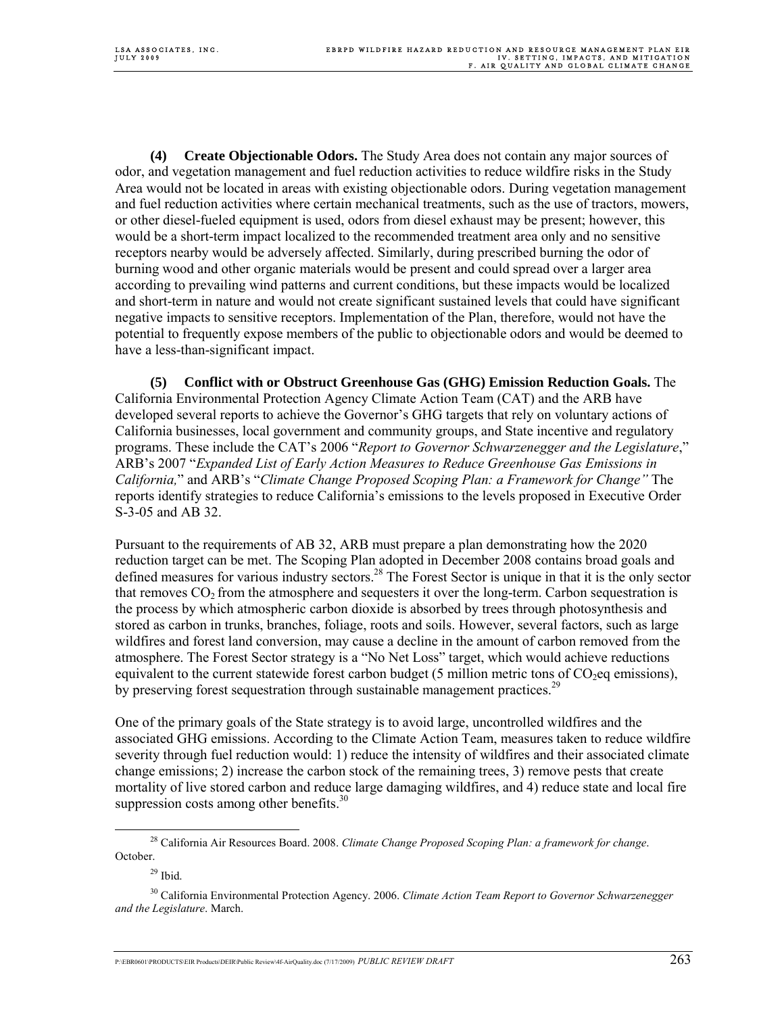**(4) Create Objectionable Odors.** The Study Area does not contain any major sources of odor, and vegetation management and fuel reduction activities to reduce wildfire risks in the Study Area would not be located in areas with existing objectionable odors. During vegetation management and fuel reduction activities where certain mechanical treatments, such as the use of tractors, mowers, or other diesel-fueled equipment is used, odors from diesel exhaust may be present; however, this would be a short-term impact localized to the recommended treatment area only and no sensitive receptors nearby would be adversely affected. Similarly, during prescribed burning the odor of burning wood and other organic materials would be present and could spread over a larger area according to prevailing wind patterns and current conditions, but these impacts would be localized and short-term in nature and would not create significant sustained levels that could have significant negative impacts to sensitive receptors. Implementation of the Plan, therefore, would not have the potential to frequently expose members of the public to objectionable odors and would be deemed to have a less-than-significant impact.

**(5) Conflict with or Obstruct Greenhouse Gas (GHG) Emission Reduction Goals.** The California Environmental Protection Agency Climate Action Team (CAT) and the ARB have developed several reports to achieve the Governor's GHG targets that rely on voluntary actions of California businesses, local government and community groups, and State incentive and regulatory programs. These include the CAT's 2006 "*Report to Governor Schwarzenegger and the Legislature*," ARB's 2007 "*Expanded List of Early Action Measures to Reduce Greenhouse Gas Emissions in California,*" and ARB's "*Climate Change Proposed Scoping Plan: a Framework for Change"* The reports identify strategies to reduce California's emissions to the levels proposed in Executive Order S-3-05 and AB 32.

Pursuant to the requirements of AB 32, ARB must prepare a plan demonstrating how the 2020 reduction target can be met. The Scoping Plan adopted in December 2008 contains broad goals and defined measures for various industry sectors.<sup>28</sup> The Forest Sector is unique in that it is the only sector that removes  $CO<sub>2</sub>$  from the atmosphere and sequesters it over the long-term. Carbon sequestration is the process by which atmospheric carbon dioxide is absorbed by trees through photosynthesis and stored as carbon in trunks, branches, foliage, roots and soils. However, several factors, such as large wildfires and forest land conversion, may cause a decline in the amount of carbon removed from the atmosphere. The Forest Sector strategy is a "No Net Loss" target, which would achieve reductions equivalent to the current statewide forest carbon budget (5 million metric tons of  $CO<sub>2</sub>$ eq emissions), by preserving forest sequestration through sustainable management practices.<sup>29</sup>

One of the primary goals of the State strategy is to avoid large, uncontrolled wildfires and the associated GHG emissions. According to the Climate Action Team, measures taken to reduce wildfire severity through fuel reduction would: 1) reduce the intensity of wildfires and their associated climate change emissions; 2) increase the carbon stock of the remaining trees, 3) remove pests that create mortality of live stored carbon and reduce large damaging wildfires, and 4) reduce state and local fire suppression costs among other benefits. $30$ 

 <sup>28</sup> California Air Resources Board. 2008. *Climate Change Proposed Scoping Plan: a framework for change*. October.

 $29$  Ibid.

<sup>30</sup> California Environmental Protection Agency. 2006. *Climate Action Team Report to Governor Schwarzenegger and the Legislature*. March.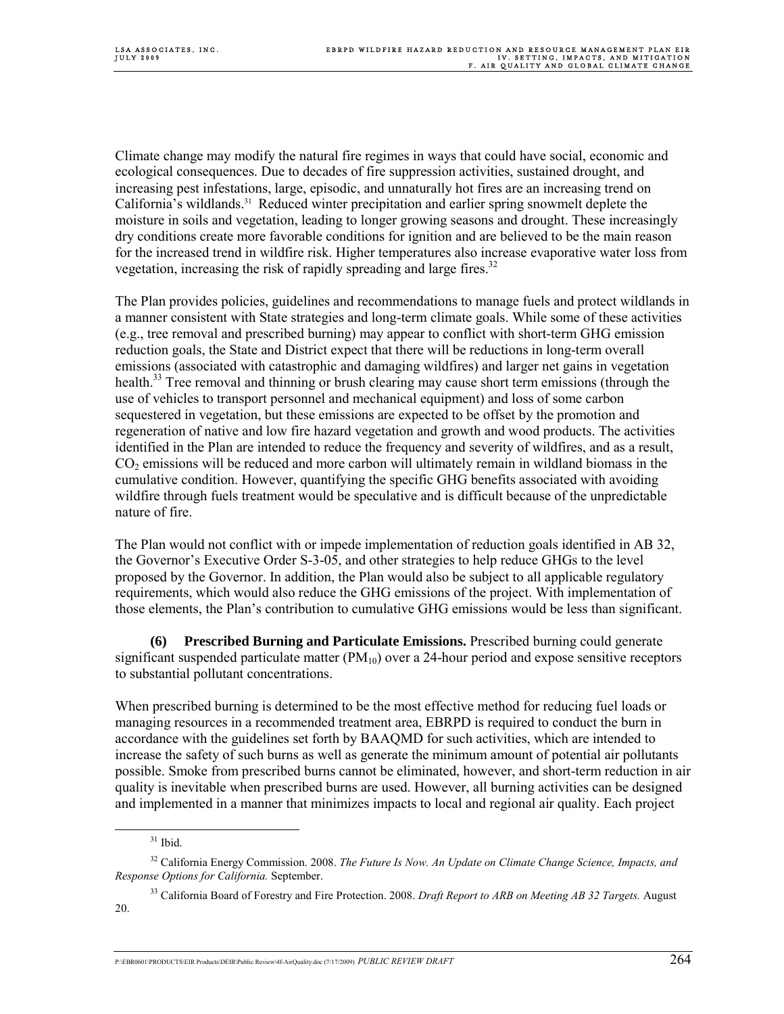Climate change may modify the natural fire regimes in ways that could have social, economic and ecological consequences. Due to decades of fire suppression activities, sustained drought, and increasing pest infestations, large, episodic, and unnaturally hot fires are an increasing trend on California's wildlands.31 Reduced winter precipitation and earlier spring snowmelt deplete the moisture in soils and vegetation, leading to longer growing seasons and drought. These increasingly dry conditions create more favorable conditions for ignition and are believed to be the main reason for the increased trend in wildfire risk. Higher temperatures also increase evaporative water loss from vegetation, increasing the risk of rapidly spreading and large fires.<sup>32</sup>

The Plan provides policies, guidelines and recommendations to manage fuels and protect wildlands in a manner consistent with State strategies and long-term climate goals. While some of these activities (e.g., tree removal and prescribed burning) may appear to conflict with short-term GHG emission reduction goals, the State and District expect that there will be reductions in long-term overall emissions (associated with catastrophic and damaging wildfires) and larger net gains in vegetation health.<sup>33</sup> Tree removal and thinning or brush clearing may cause short term emissions (through the use of vehicles to transport personnel and mechanical equipment) and loss of some carbon sequestered in vegetation, but these emissions are expected to be offset by the promotion and regeneration of native and low fire hazard vegetation and growth and wood products. The activities identified in the Plan are intended to reduce the frequency and severity of wildfires, and as a result,  $CO<sub>2</sub>$  emissions will be reduced and more carbon will ultimately remain in wildland biomass in the cumulative condition. However, quantifying the specific GHG benefits associated with avoiding wildfire through fuels treatment would be speculative and is difficult because of the unpredictable nature of fire.

The Plan would not conflict with or impede implementation of reduction goals identified in AB 32, the Governor's Executive Order S-3-05, and other strategies to help reduce GHGs to the level proposed by the Governor. In addition, the Plan would also be subject to all applicable regulatory requirements, which would also reduce the GHG emissions of the project. With implementation of those elements, the Plan's contribution to cumulative GHG emissions would be less than significant.

**(6) Prescribed Burning and Particulate Emissions.** Prescribed burning could generate significant suspended particulate matter  $(PM_{10})$  over a 24-hour period and expose sensitive receptors to substantial pollutant concentrations.

When prescribed burning is determined to be the most effective method for reducing fuel loads or managing resources in a recommended treatment area, EBRPD is required to conduct the burn in accordance with the guidelines set forth by BAAQMD for such activities, which are intended to increase the safety of such burns as well as generate the minimum amount of potential air pollutants possible. Smoke from prescribed burns cannot be eliminated, however, and short-term reduction in air quality is inevitable when prescribed burns are used. However, all burning activities can be designed and implemented in a manner that minimizes impacts to local and regional air quality. Each project

 $31$  Ibid.

<sup>32</sup> California Energy Commission. 2008. *The Future Is Now. An Update on Climate Change Science, Impacts, and Response Options for California.* September.

<sup>33</sup> California Board of Forestry and Fire Protection. 2008. *Draft Report to ARB on Meeting AB 32 Targets.* August 20.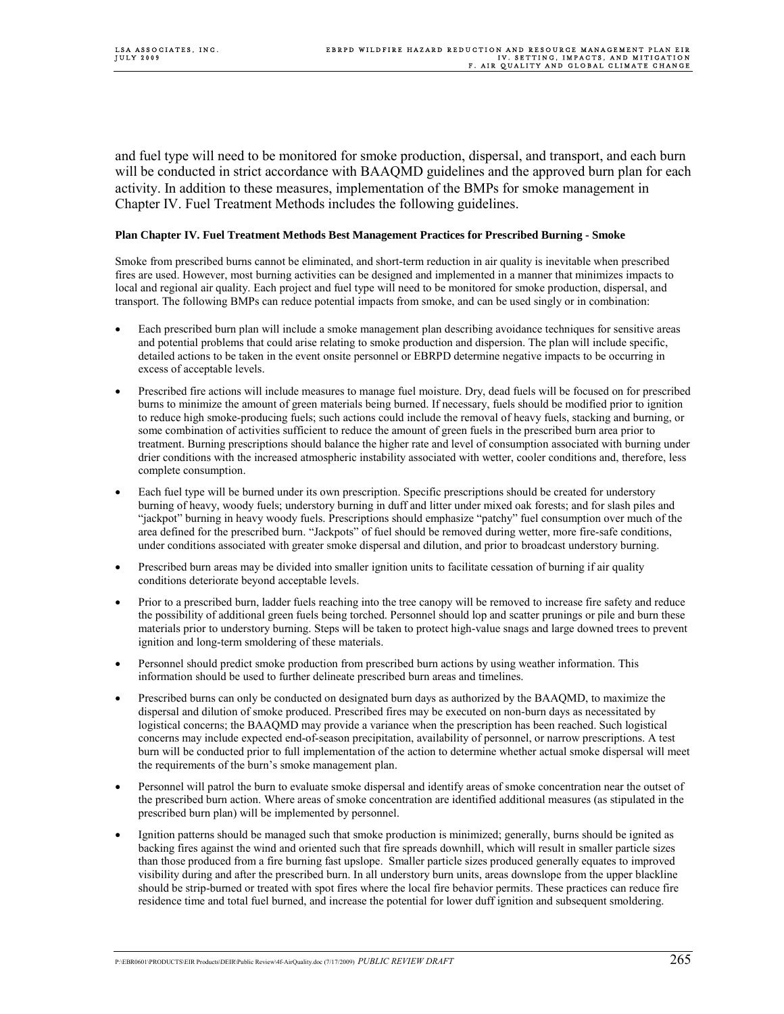and fuel type will need to be monitored for smoke production, dispersal, and transport, and each burn will be conducted in strict accordance with BAAQMD guidelines and the approved burn plan for each activity. In addition to these measures, implementation of the BMPs for smoke management in Chapter IV. Fuel Treatment Methods includes the following guidelines.

#### **Plan Chapter IV. Fuel Treatment Methods Best Management Practices for Prescribed Burning - Smoke**

Smoke from prescribed burns cannot be eliminated, and short-term reduction in air quality is inevitable when prescribed fires are used. However, most burning activities can be designed and implemented in a manner that minimizes impacts to local and regional air quality. Each project and fuel type will need to be monitored for smoke production, dispersal, and transport. The following BMPs can reduce potential impacts from smoke, and can be used singly or in combination:

- Each prescribed burn plan will include a smoke management plan describing avoidance techniques for sensitive areas and potential problems that could arise relating to smoke production and dispersion. The plan will include specific, detailed actions to be taken in the event onsite personnel or EBRPD determine negative impacts to be occurring in excess of acceptable levels.
- Prescribed fire actions will include measures to manage fuel moisture. Dry, dead fuels will be focused on for prescribed burns to minimize the amount of green materials being burned. If necessary, fuels should be modified prior to ignition to reduce high smoke-producing fuels; such actions could include the removal of heavy fuels, stacking and burning, or some combination of activities sufficient to reduce the amount of green fuels in the prescribed burn area prior to treatment. Burning prescriptions should balance the higher rate and level of consumption associated with burning under drier conditions with the increased atmospheric instability associated with wetter, cooler conditions and, therefore, less complete consumption.
- Each fuel type will be burned under its own prescription. Specific prescriptions should be created for understory burning of heavy, woody fuels; understory burning in duff and litter under mixed oak forests; and for slash piles and "jackpot" burning in heavy woody fuels. Prescriptions should emphasize "patchy" fuel consumption over much of the area defined for the prescribed burn. "Jackpots" of fuel should be removed during wetter, more fire-safe conditions, under conditions associated with greater smoke dispersal and dilution, and prior to broadcast understory burning.
- Prescribed burn areas may be divided into smaller ignition units to facilitate cessation of burning if air quality conditions deteriorate beyond acceptable levels.
- Prior to a prescribed burn, ladder fuels reaching into the tree canopy will be removed to increase fire safety and reduce the possibility of additional green fuels being torched. Personnel should lop and scatter prunings or pile and burn these materials prior to understory burning. Steps will be taken to protect high-value snags and large downed trees to prevent ignition and long-term smoldering of these materials.
- Personnel should predict smoke production from prescribed burn actions by using weather information. This information should be used to further delineate prescribed burn areas and timelines.
- Prescribed burns can only be conducted on designated burn days as authorized by the BAAQMD, to maximize the dispersal and dilution of smoke produced. Prescribed fires may be executed on non-burn days as necessitated by logistical concerns; the BAAQMD may provide a variance when the prescription has been reached. Such logistical concerns may include expected end-of-season precipitation, availability of personnel, or narrow prescriptions. A test burn will be conducted prior to full implementation of the action to determine whether actual smoke dispersal will meet the requirements of the burn's smoke management plan.
- Personnel will patrol the burn to evaluate smoke dispersal and identify areas of smoke concentration near the outset of the prescribed burn action. Where areas of smoke concentration are identified additional measures (as stipulated in the prescribed burn plan) will be implemented by personnel.
- Ignition patterns should be managed such that smoke production is minimized; generally, burns should be ignited as backing fires against the wind and oriented such that fire spreads downhill, which will result in smaller particle sizes than those produced from a fire burning fast upslope. Smaller particle sizes produced generally equates to improved visibility during and after the prescribed burn. In all understory burn units, areas downslope from the upper blackline should be strip-burned or treated with spot fires where the local fire behavior permits. These practices can reduce fire residence time and total fuel burned, and increase the potential for lower duff ignition and subsequent smoldering.